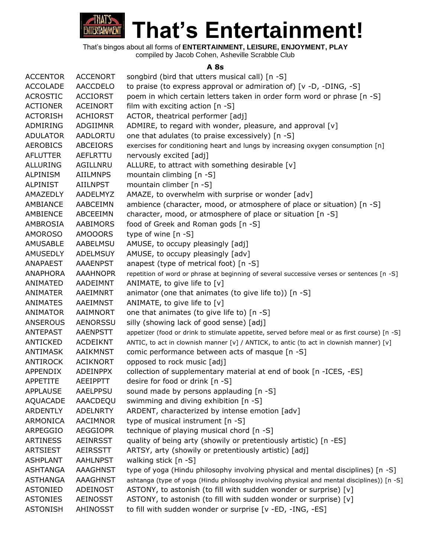

**That's Entertainment!**

That's bingos about all forms of **ENTERTAINMENT, LEISURE, ENJOYMENT, PLAY**

compiled by Jacob Cohen, Asheville Scrabble Club

#### **A 8s**

| <b>ACCENTOR</b> | <b>ACCENORT</b> | songbird (bird that utters musical call) [n -S]                                               |
|-----------------|-----------------|-----------------------------------------------------------------------------------------------|
| <b>ACCOLADE</b> | <b>AACCDELO</b> | to praise (to express approval or admiration of) $[v -D, -DING, -S]$                          |
| <b>ACROSTIC</b> | <b>ACCIORST</b> | poem in which certain letters taken in order form word or phrase [n -S]                       |
| <b>ACTIONER</b> | <b>ACEINORT</b> | film with exciting action $[n -S]$                                                            |
| <b>ACTORISH</b> | <b>ACHIORST</b> | ACTOR, theatrical performer [adj]                                                             |
| ADMIRING        | ADGIIMNR        | ADMIRE, to regard with wonder, pleasure, and approval [v]                                     |
| <b>ADULATOR</b> | AADLORTU        | one that adulates (to praise excessively) [n -S]                                              |
| <b>AEROBICS</b> | <b>ABCEIORS</b> | exercises for conditioning heart and lungs by increasing oxygen consumption [n]               |
| <b>AFLUTTER</b> | AEFLRTTU        | nervously excited [adj]                                                                       |
| <b>ALLURING</b> | AGILLNRU        | ALLURE, to attract with something desirable [v]                                               |
| <b>ALPINISM</b> | <b>AIILMNPS</b> | mountain climbing [n -S]                                                                      |
| <b>ALPINIST</b> | <b>AIILNPST</b> | mountain climber [n -S]                                                                       |
| AMAZEDLY        | AADELMYZ        | AMAZE, to overwhelm with surprise or wonder [adv]                                             |
| AMBIANCE        | AABCEIMN        | ambience (character, mood, or atmosphere of place or situation) [n -S]                        |
| AMBIENCE        | ABCEEIMN        | character, mood, or atmosphere of place or situation [n -S]                                   |
| AMBROSIA        | <b>AABIMORS</b> | food of Greek and Roman gods [n -S]                                                           |
| <b>AMOROSO</b>  | <b>AMOOORS</b>  | type of wine [n -S]                                                                           |
| AMUSABLE        | AABELMSU        | AMUSE, to occupy pleasingly [adj]                                                             |
| AMUSEDLY        | <b>ADELMSUY</b> | AMUSE, to occupy pleasingly [adv]                                                             |
| ANAPAEST        | <b>AAAENPST</b> | anapest (type of metrical foot) [n -S]                                                        |
| <b>ANAPHORA</b> | <b>AAAHNOPR</b> | repetition of word or phrase at beginning of several successive verses or sentences [n -S]    |
| ANIMATED        | AADEIMNT        | ANIMATE, to give life to [v]                                                                  |
| ANIMATER        | AAEIMNRT        | animator (one that animates (to give life to)) [n -S]                                         |
| <b>ANIMATES</b> | AAEIMNST        | ANIMATE, to give life to [v]                                                                  |
| ANIMATOR        | AAIMNORT        | one that animates (to give life to) [n -S]                                                    |
| ANSEROUS        | <b>AENORSSU</b> | silly (showing lack of good sense) [adj]                                                      |
| <b>ANTEPAST</b> | <b>AAENPSTT</b> | appetizer (food or drink to stimulate appetite, served before meal or as first course) [n -S] |
| <b>ANTICKED</b> | <b>ACDEIKNT</b> | ANTIC, to act in clownish manner [v] / ANTICK, to antic (to act in clownish manner) [v]       |
| ANTIMASK        | AAIKMNST        | comic performance between acts of masque [n -S]                                               |
| <b>ANTIROCK</b> | <b>ACIKNORT</b> | opposed to rock music [adj]                                                                   |
| APPENDIX        | <b>ADEINPPX</b> | collection of supplementary material at end of book [n -ICES, -ES]                            |
| APPETITE        | <b>AEEIPPTT</b> | desire for food or drink [n -S]                                                               |
| <b>APPLAUSE</b> | AAELPPSU        | sound made by persons applauding [n -S]                                                       |
| <b>AQUACADE</b> | AAACDEQU        | swimming and diving exhibition [n -S]                                                         |
| <b>ARDENTLY</b> | <b>ADELNRTY</b> | ARDENT, characterized by intense emotion [adv]                                                |
| ARMONICA        | AACIMNOR        | type of musical instrument [n -S]                                                             |
| ARPEGGIO        | <b>AEGGIOPR</b> | technique of playing musical chord [n -S]                                                     |
| <b>ARTINESS</b> | <b>AEINRSST</b> | quality of being arty (showily or pretentiously artistic) [n -ES]                             |
| <b>ARTSIEST</b> | AEIRSSTT        | ARTSY, arty (showily or pretentiously artistic) [adj]                                         |
| <b>ASHPLANT</b> | <b>AAHLNPST</b> | walking stick [n -S]                                                                          |
| <b>ASHTANGA</b> | AAAGHNST        | type of yoga (Hindu philosophy involving physical and mental disciplines) [n -S]              |
| <b>ASTHANGA</b> | AAAGHNST        | ashtanga (type of yoga (Hindu philosophy involving physical and mental disciplines)) [n -S]   |
| <b>ASTONIED</b> | ADEINOST        | ASTONY, to astonish (to fill with sudden wonder or surprise) [v]                              |
| <b>ASTONIES</b> | AEINOSST        | ASTONY, to astonish (to fill with sudden wonder or surprise) [v]                              |
| <b>ASTONISH</b> | AHINOSST        | to fill with sudden wonder or surprise [v -ED, -ING, -ES]                                     |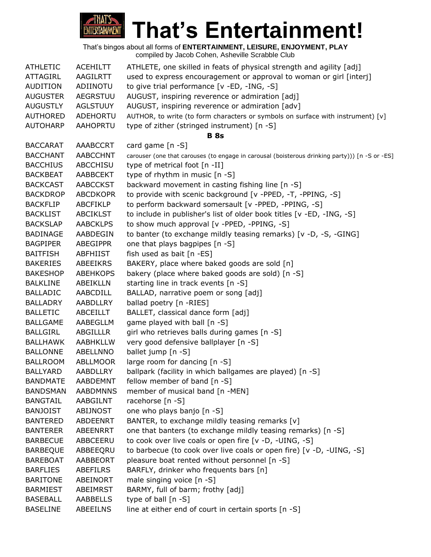

**That's Entertainment!**

| <b>ATHLETIC</b> | <b>ACEHILTT</b> | ATHLETE, one skilled in feats of physical strength and agility [adj]                           |
|-----------------|-----------------|------------------------------------------------------------------------------------------------|
| <b>ATTAGIRL</b> | AAGILRTT        | used to express encouragement or approval to woman or girl [interj]                            |
| AUDITION        | ADIINOTU        | to give trial performance [v -ED, -ING, -S]                                                    |
| <b>AUGUSTER</b> | <b>AEGRSTUU</b> | AUGUST, inspiring reverence or admiration [adj]                                                |
| <b>AUGUSTLY</b> | <b>AGLSTUUY</b> | AUGUST, inspiring reverence or admiration [adv]                                                |
| <b>AUTHORED</b> | ADEHORTU        | AUTHOR, to write (to form characters or symbols on surface with instrument) [v]                |
| <b>AUTOHARP</b> | <b>AAHOPRTU</b> | type of zither (stringed instrument) [n -S]                                                    |
|                 |                 | <b>B</b> 8s                                                                                    |
| <b>BACCARAT</b> | AAABCCRT        | card game $[n -S]$                                                                             |
| <b>BACCHANT</b> | <b>AABCCHNT</b> | carouser (one that carouses (to engage in carousal (boisterous drinking party))) [n -S or -ES] |
| <b>BACCHIUS</b> | ABCCHISU        | type of metrical foot [n -II]                                                                  |
| <b>BACKBEAT</b> | AABBCEKT        | type of rhythm in music [n -S]                                                                 |
| <b>BACKCAST</b> | <b>AABCCKST</b> | backward movement in casting fishing line [n -S]                                               |
| <b>BACKDROP</b> | <b>ABCDKOPR</b> | to provide with scenic background [v -PPED, -T, -PPING, -S]                                    |
| <b>BACKFLIP</b> | <b>ABCFIKLP</b> | to perform backward somersault [v -PPED, -PPING, -S]                                           |
| <b>BACKLIST</b> | <b>ABCIKLST</b> | to include in publisher's list of older book titles [v -ED, -ING, -S]                          |
| <b>BACKSLAP</b> | <b>AABCKLPS</b> | to show much approval [v -PPED, -PPING, -S]                                                    |
| <b>BADINAGE</b> | AABDEGIN        | to banter (to exchange mildly teasing remarks) [v -D, -S, -GING]                               |
| <b>BAGPIPER</b> | <b>ABEGIPPR</b> | one that plays bagpipes [n -S]                                                                 |
| <b>BAITFISH</b> | <b>ABFHIIST</b> | fish used as bait [n -ES]                                                                      |
| <b>BAKERIES</b> | ABEEIKRS        | BAKERY, place where baked goods are sold [n]                                                   |
| <b>BAKESHOP</b> | ABEHKOPS        | bakery (place where baked goods are sold) [n -S]                                               |
| <b>BALKLINE</b> | ABEIKLLN        | starting line in track events [n -S]                                                           |
| <b>BALLADIC</b> | AABCDILL        | BALLAD, narrative poem or song [adj]                                                           |
| <b>BALLADRY</b> | <b>AABDLLRY</b> | ballad poetry [n -RIES]                                                                        |
| <b>BALLETIC</b> | <b>ABCEILLT</b> | BALLET, classical dance form [adj]                                                             |
| <b>BALLGAME</b> | AABEGLLM        | game played with ball [n -S]                                                                   |
| <b>BALLGIRL</b> | <b>ABGILLLR</b> | girl who retrieves balls during games [n -S]                                                   |
| <b>BALLHAWK</b> | AABHKLLW        | very good defensive ballplayer [n -S]                                                          |
| <b>BALLONNE</b> | ABELLNNO        | ballet jump [n -S]                                                                             |
| <b>BALLROOM</b> | <b>ABLLMOOR</b> | large room for dancing [n -S]                                                                  |
| <b>BALLYARD</b> | <b>AABDLLRY</b> | ballpark (facility in which ballgames are played) [n -S]                                       |
| <b>BANDMATE</b> | <b>AABDEMNT</b> | fellow member of band [n -S]                                                                   |
| <b>BANDSMAN</b> | <b>AABDMNNS</b> | member of musical band [n -MEN]                                                                |
| <b>BANGTAIL</b> | AABGILNT        | racehorse [n -S]                                                                               |
| <b>BANJOIST</b> | ABIJNOST        | one who plays banjo [n -S]                                                                     |
| <b>BANTERED</b> | ABDEENRT        | BANTER, to exchange mildly teasing remarks [v]                                                 |
| <b>BANTERER</b> | ABEENRRT        | one that banters (to exchange mildly teasing remarks) [n -S]                                   |
| <b>BARBECUE</b> | ABBCEERU        | to cook over live coals or open fire [v -D, -UING, -S]                                         |
| <b>BARBEQUE</b> | ABBEEQRU        | to barbecue (to cook over live coals or open fire) [v -D, -UING, -S]                           |
| <b>BAREBOAT</b> | AABBEORT        | pleasure boat rented without personnel [n -S]                                                  |
| <b>BARFLIES</b> | <b>ABEFILRS</b> | BARFLY, drinker who frequents bars [n]                                                         |
| <b>BARITONE</b> | ABEINORT        | male singing voice [n -S]                                                                      |
| <b>BARMIEST</b> | ABEIMRST        | BARMY, full of barm; frothy [adj]                                                              |
| <b>BASEBALL</b> | <b>AABBELLS</b> | type of ball $[n - S]$                                                                         |
| <b>BASELINE</b> | ABEEILNS        | line at either end of court in certain sports [n -S]                                           |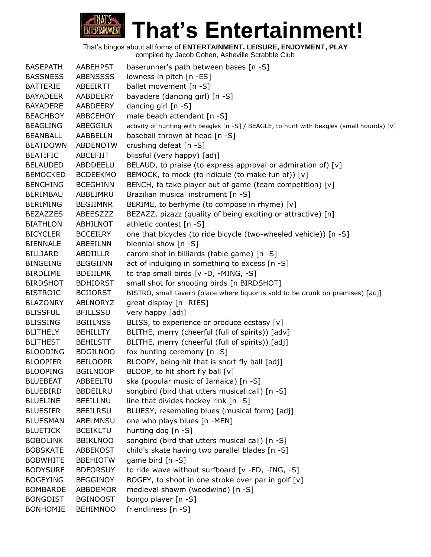### **That's Entertainment! ENTERTAINMENT**

| <b>BASEPATH</b> | AABEHPST        | baserunner's path between bases [n -S]                                                    |
|-----------------|-----------------|-------------------------------------------------------------------------------------------|
| <b>BASSNESS</b> | <b>ABENSSSS</b> | lowness in pitch [n -ES]                                                                  |
| <b>BATTERIE</b> | ABEEIRTT        | ballet movement [n -S]                                                                    |
| <b>BAYADEER</b> | AABDEERY        | bayadere (dancing girl) [n -S]                                                            |
| <b>BAYADERE</b> | AABDEERY        | dancing girl $[n -S]$                                                                     |
| <b>BEACHBOY</b> | ABBCEHOY        | male beach attendant [n -S]                                                               |
| <b>BEAGLING</b> | ABEGGILN        | activity of hunting with beagles [n -S] / BEAGLE, to hunt with beagles (small hounds) [v] |
| <b>BEANBALL</b> | AABBELLN        | baseball thrown at head [n -S]                                                            |
| <b>BEATDOWN</b> | <b>ABDENOTW</b> | crushing defeat [n -S]                                                                    |
| <b>BEATIFIC</b> | <b>ABCEFIIT</b> | blissful (very happy) [adj]                                                               |
| <b>BELAUDED</b> | ABDDEELU        | BELAUD, to praise (to express approval or admiration of) $[v]$                            |
| <b>BEMOCKED</b> | <b>BCDEEKMO</b> | BEMOCK, to mock (to ridicule (to make fun of)) [v]                                        |
| <b>BENCHING</b> | <b>BCEGHINN</b> | BENCH, to take player out of game (team competition) [v]                                  |
| BERIMBAU        | ABBEIMRU        | Brazilian musical instrument [n -S]                                                       |
| <b>BERIMING</b> | <b>BEGIIMNR</b> | BERIME, to berhyme (to compose in rhyme) [v]                                              |
| <b>BEZAZZES</b> | ABEESZZZ        | BEZAZZ, pizazz (quality of being exciting or attractive) [n]                              |
| <b>BIATHLON</b> | ABHILNOT        | athletic contest [n -S]                                                                   |
| <b>BICYCLER</b> | <b>BCCEILRY</b> | one that bicycles (to ride bicycle (two-wheeled vehicle)) [n -S]                          |
| <b>BIENNALE</b> | ABEEILNN        | biennial show [n -S]                                                                      |
| <b>BILLIARD</b> | ABDIILLR        | carom shot in billiards (table game) [n -S]                                               |
| <b>BINGEING</b> | <b>BEGGIINN</b> | act of indulging in something to excess [n -S]                                            |
| <b>BIRDLIME</b> | <b>BDEIILMR</b> | to trap small birds [v -D, -MING, -S]                                                     |
| <b>BIRDSHOT</b> | <b>BDHIORST</b> | small shot for shooting birds [n BIRDSHOT]                                                |
| <b>BISTROIC</b> | <b>BCIIORST</b> | BISTRO, small tavern (place where liquor is sold to be drunk on premises) [adj]           |
| <b>BLAZONRY</b> | ABLNORYZ        | great display [n -RIES]                                                                   |
| <b>BLISSFUL</b> | <b>BFILLSSU</b> | very happy [adj]                                                                          |
| <b>BLISSING</b> | <b>BGIILNSS</b> | BLISS, to experience or produce ecstasy [v]                                               |
| <b>BLITHELY</b> | <b>BEHILLTY</b> | BLITHE, merry (cheerful (full of spirits)) [adv]                                          |
| <b>BLITHEST</b> | <b>BEHILSTT</b> | BLITHE, merry (cheerful (full of spirits)) [adj]                                          |
| <b>BLOODING</b> | <b>BDGILNOO</b> | fox hunting ceremony [n -S]                                                               |
| <b>BLOOPIER</b> | <b>BEILOOPR</b> | BLOOPY, being hit that is short fly ball [adj]                                            |
| <b>BLOOPING</b> | <b>BGILNOOP</b> | BLOOP, to hit short fly ball [v]                                                          |
| <b>BLUEBEAT</b> | ABBEELTU        | ska (popular music of Jamaica) [n -S]                                                     |
| <b>BLUEBIRD</b> | <b>BBDEILRU</b> | songbird (bird that utters musical call) [n -S]                                           |
| <b>BLUELINE</b> | <b>BEEILLNU</b> | line that divides hockey rink [n -S]                                                      |
| <b>BLUESIER</b> | <b>BEEILRSU</b> | BLUESY, resembling blues (musical form) [adj]                                             |
| <b>BLUESMAN</b> | ABELMNSU        | one who plays blues [n -MEN]                                                              |
| <b>BLUETICK</b> | <b>BCEIKLTU</b> | hunting dog [n -S]                                                                        |
| <b>BOBOLINK</b> | <b>BBIKLNOO</b> | songbird (bird that utters musical call) [n -S]                                           |
| <b>BOBSKATE</b> | ABBEKOST        | child's skate having two parallel blades [n -S]                                           |
| <b>BOBWHITE</b> | <b>BBEHIOTW</b> | game bird $[n - S]$                                                                       |
| <b>BODYSURF</b> | <b>BDFORSUY</b> | to ride wave without surfboard [v -ED, -ING, -S]                                          |
| <b>BOGEYING</b> | <b>BEGGINOY</b> | BOGEY, to shoot in one stroke over par in golf [v]                                        |
| <b>BOMBARDE</b> | ABBDEMOR        | medieval shawm (woodwind) [n -S]                                                          |
| <b>BONGOIST</b> | <b>BGINOOST</b> | bongo player [n -S]                                                                       |
| <b>BONHOMIE</b> | <b>BEHIMNOO</b> | friendliness [n -S]                                                                       |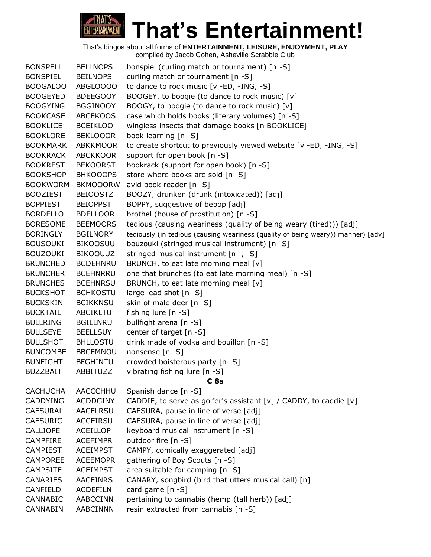

| <b>BONSPELL</b> | <b>BELLNOPS</b> | bonspiel (curling match or tournament) [n -S]                                    |
|-----------------|-----------------|----------------------------------------------------------------------------------|
| <b>BONSPIEL</b> | <b>BEILNOPS</b> | curling match or tournament [n -S]                                               |
| <b>BOOGALOO</b> | ABGLOOOO        | to dance to rock music [v -ED, -ING, -S]                                         |
| <b>BOOGEYED</b> | <b>BDEEGOOY</b> | BOOGEY, to boogie (to dance to rock music) [v]                                   |
| <b>BOOGYING</b> | <b>BGGINOOY</b> | BOOGY, to boogie (to dance to rock music) [v]                                    |
| <b>BOOKCASE</b> | <b>ABCEKOOS</b> | case which holds books (literary volumes) [n -S]                                 |
| <b>BOOKLICE</b> | <b>BCEIKLOO</b> | wingless insects that damage books [n BOOKLICE]                                  |
| <b>BOOKLORE</b> | <b>BEKLOOOR</b> | book learning [n -S]                                                             |
| <b>BOOKMARK</b> | <b>ABKKMOOR</b> | to create shortcut to previously viewed website [v -ED, -ING, -S]                |
| <b>BOOKRACK</b> | <b>ABCKKOOR</b> | support for open book [n -S]                                                     |
| <b>BOOKREST</b> | <b>BEKOORST</b> | bookrack (support for open book) [n -S]                                          |
| <b>BOOKSHOP</b> | <b>BHKOOOPS</b> | store where books are sold [n -S]                                                |
| <b>BOOKWORM</b> | <b>BKMOOORW</b> | avid book reader [n -S]                                                          |
| <b>BOOZIEST</b> | <b>BEIOOSTZ</b> | BOOZY, drunken (drunk (intoxicated)) [adj]                                       |
| <b>BOPPIEST</b> | <b>BEIOPPST</b> | BOPPY, suggestive of bebop [adj]                                                 |
| <b>BORDELLO</b> | <b>BDELLOOR</b> | brothel (house of prostitution) [n -S]                                           |
| <b>BORESOME</b> | <b>BEEMOORS</b> | tedious (causing weariness (quality of being weary (tired))) [adj]               |
| <b>BORINGLY</b> | <b>BGILNORY</b> | tediously (in tedious (causing weariness (quality of being weary)) manner) [adv] |
| <b>BOUSOUKI</b> | <b>BIKOOSUU</b> | bouzouki (stringed musical instrument) [n -S]                                    |
| <b>BOUZOUKI</b> | <b>BIKOOUUZ</b> | stringed musical instrument [n -, -S]                                            |
| <b>BRUNCHED</b> | <b>BCDEHNRU</b> | BRUNCH, to eat late morning meal [v]                                             |
| <b>BRUNCHER</b> | <b>BCEHNRRU</b> | one that brunches (to eat late morning meal) [n -S]                              |
| <b>BRUNCHES</b> | <b>BCEHNRSU</b> | BRUNCH, to eat late morning meal [v]                                             |
| <b>BUCKSHOT</b> | <b>BCHKOSTU</b> | large lead shot [n -S]                                                           |
| <b>BUCKSKIN</b> | <b>BCIKKNSU</b> | skin of male deer [n -S]                                                         |
| <b>BUCKTAIL</b> | ABCIKLTU        | fishing lure [n -S]                                                              |
| <b>BULLRING</b> | <b>BGILLNRU</b> | bullfight arena [n -S]                                                           |
| <b>BULLSEYE</b> | <b>BEELLSUY</b> | center of target [n -S]                                                          |
| <b>BULLSHOT</b> | <b>BHLLOSTU</b> | drink made of vodka and bouillon [n -S]                                          |
| <b>BUNCOMBE</b> | <b>BBCEMNOU</b> | nonsense [n -S]                                                                  |
| <b>BUNFIGHT</b> | <b>BFGHINTU</b> | crowded boisterous party [n -S]                                                  |
| <b>BUZZBAIT</b> | ABBITUZZ        | vibrating fishing lure [n -S]                                                    |
|                 |                 | C <sub>8s</sub>                                                                  |
| <b>CACHUCHA</b> | AACCCHHU        | Spanish dance [n -S]                                                             |
| <b>CADDYING</b> | <b>ACDDGINY</b> | CADDIE, to serve as golfer's assistant [v] / CADDY, to caddie [v]                |
| <b>CAESURAL</b> | <b>AACELRSU</b> | CAESURA, pause in line of verse [adj]                                            |
| CAESURIC        | <b>ACCEIRSU</b> | CAESURA, pause in line of verse [adj]                                            |
| CALLIOPE        | <b>ACEILLOP</b> | keyboard musical instrument [n -S]                                               |
| <b>CAMPFIRE</b> | <b>ACEFIMPR</b> | outdoor fire [n -S]                                                              |
| <b>CAMPIEST</b> | <b>ACEIMPST</b> | CAMPY, comically exaggerated [adj]                                               |
| <b>CAMPOREE</b> | <b>ACEEMOPR</b> | gathering of Boy Scouts [n -S]                                                   |
| <b>CAMPSITE</b> | <b>ACEIMPST</b> | area suitable for camping [n -S]                                                 |
| CANARIES        | <b>AACEINRS</b> | CANARY, songbird (bird that utters musical call) [n]                             |
| CANFIELD        | <b>ACDEFILN</b> | card game [n -S]                                                                 |
| CANNABIC        | AABCCINN        | pertaining to cannabis (hemp (tall herb)) [adj]                                  |
| <b>CANNABIN</b> | AABCINNN        | resin extracted from cannabis [n -S]                                             |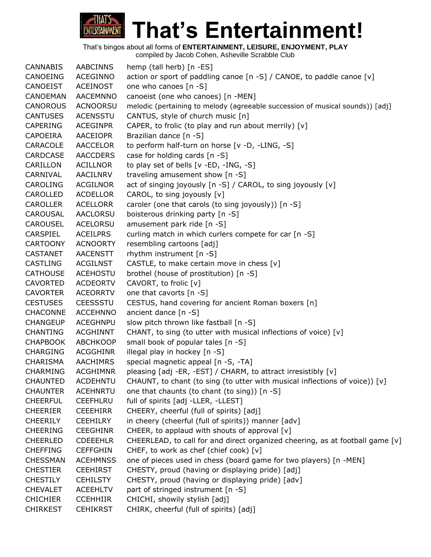# **That's Entertainment! ENTERTAINMENT**

That's bingos about all forms of **ENTERTAINMENT, LEISURE, ENJOYMENT, PLAY**

| <b>CANNABIS</b> | <b>AABCINNS</b> | hemp (tall herb) [n -ES]                                                      |
|-----------------|-----------------|-------------------------------------------------------------------------------|
| CANOEING        | ACEGINNO        | action or sport of paddling canoe [n -S] / CANOE, to paddle canoe [v]         |
| CANOEIST        | <b>ACEINOST</b> | one who canoes [n -S]                                                         |
| CANOEMAN        | <b>AACEMNNO</b> | canoeist (one who canoes) [n -MEN]                                            |
| <b>CANOROUS</b> | <b>ACNOORSU</b> | melodic (pertaining to melody (agreeable succession of musical sounds)) [adj] |
| <b>CANTUSES</b> | <b>ACENSSTU</b> | CANTUS, style of church music [n]                                             |
| <b>CAPERING</b> | <b>ACEGINPR</b> | CAPER, to frolic (to play and run about merrily) [v]                          |
| CAPOEIRA        | AACEIOPR        | Brazilian dance [n -S]                                                        |
| CARACOLE        | <b>AACCELOR</b> | to perform half-turn on horse [v -D, -LING, -S]                               |
| <b>CARDCASE</b> | <b>AACCDERS</b> | case for holding cards [n -S]                                                 |
| CARILLON        | <b>ACILLNOR</b> | to play set of bells $[v - ED, -ING, -S]$                                     |
| CARNIVAL        | AACILNRV        | traveling amusement show [n -S]                                               |
| <b>CAROLING</b> | <b>ACGILNOR</b> | act of singing joyously [n -S] / CAROL, to sing joyously [v]                  |
| CAROLLED        | <b>ACDELLOR</b> | CAROL, to sing joyously [v]                                                   |
| <b>CAROLLER</b> | <b>ACELLORR</b> | caroler (one that carols (to sing joyously)) [n -S]                           |
| CAROUSAL        | AACLORSU        | boisterous drinking party [n -S]                                              |
| <b>CAROUSEL</b> | <b>ACELORSU</b> | amusement park ride [n -S]                                                    |
| <b>CARSPIEL</b> | <b>ACEILPRS</b> | curling match in which curlers compete for car [n -S]                         |
| <b>CARTOONY</b> | <b>ACNOORTY</b> | resembling cartoons [adj]                                                     |
| <b>CASTANET</b> | <b>AACENSTT</b> | rhythm instrument [n -S]                                                      |
| <b>CASTLING</b> | ACGILNST        | CASTLE, to make certain move in chess [v]                                     |
| <b>CATHOUSE</b> | <b>ACEHOSTU</b> | brothel (house of prostitution) [n -S]                                        |
| <b>CAVORTED</b> | <b>ACDEORTV</b> | CAVORT, to frolic [v]                                                         |
| <b>CAVORTER</b> | <b>ACEORRTV</b> | one that cavorts [n -S]                                                       |
| <b>CESTUSES</b> | <b>CEESSSTU</b> | CESTUS, hand covering for ancient Roman boxers [n]                            |
| <b>CHACONNE</b> | <b>ACCEHNNO</b> | ancient dance [n -S]                                                          |
| <b>CHANGEUP</b> | ACEGHNPU        | slow pitch thrown like fastball [n -S]                                        |
| <b>CHANTING</b> | <b>ACGHINNT</b> | CHANT, to sing (to utter with musical inflections of voice) [v]               |
| <b>CHAPBOOK</b> | <b>ABCHKOOP</b> | small book of popular tales [n -S]                                            |
| <b>CHARGING</b> | <b>ACGGHINR</b> | illegal play in hockey [n -S]                                                 |
| CHARISMA        | <b>AACHIMRS</b> | special magnetic appeal [n -S, -TA]                                           |
| <b>CHARMING</b> | <b>ACGHIMNR</b> | pleasing [adj -ER, -EST] / CHARM, to attract irresistibly [v]                 |
| <b>CHAUNTED</b> | <b>ACDEHNTU</b> | CHAUNT, to chant (to sing (to utter with musical inflections of voice)) $[v]$ |
| <b>CHAUNTER</b> | <b>ACEHNRTU</b> | one that chaunts (to chant (to sing)) [n -S]                                  |
| <b>CHEERFUL</b> | <b>CEEFHLRU</b> | full of spirits [adj -LLER, -LLEST]                                           |
| <b>CHEERIER</b> | <b>CEEEHIRR</b> | CHEERY, cheerful (full of spirits) [adj]                                      |
| <b>CHEERILY</b> | <b>CEEHILRY</b> | in cheery (cheerful (full of spirits)) manner [adv]                           |
| <b>CHEERING</b> | <b>CEEGHINR</b> | CHEER, to applaud with shouts of approval [v]                                 |
| <b>CHEERLED</b> | <b>CDEEEHLR</b> | CHEERLEAD, to call for and direct organized cheering, as at football game [v] |
| <b>CHEFFING</b> | <b>CEFFGHIN</b> | CHEF, to work as chef (chief cook) [v]                                        |
| <b>CHESSMAN</b> | <b>ACEHMNSS</b> | one of pieces used in chess (board game for two players) [n -MEN]             |
| <b>CHESTIER</b> | <b>CEEHIRST</b> | CHESTY, proud (having or displaying pride) [adj]                              |
| <b>CHESTILY</b> | <b>CEHILSTY</b> | CHESTY, proud (having or displaying pride) [adv]                              |
| <b>CHEVALET</b> | <b>ACEEHLTV</b> | part of stringed instrument [n -S]                                            |
| <b>CHICHIER</b> | <b>CCEHHIIR</b> | CHICHI, showily stylish [adj]                                                 |
| <b>CHIRKEST</b> | <b>CEHIKRST</b> | CHIRK, cheerful (full of spirits) [adj]                                       |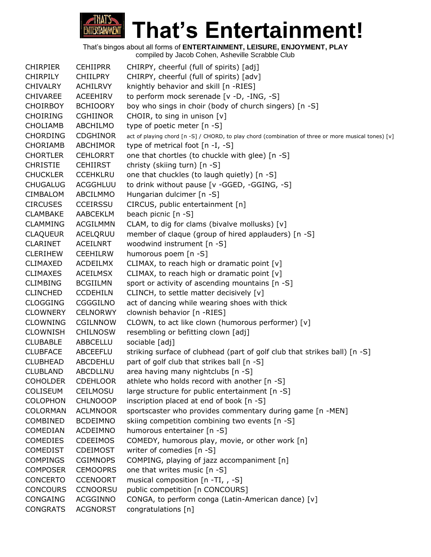

CHIRPIER CEHIIPRR CHIRPY, cheerful (full of spirits) [adj] CHIRPILY CHIILPRY CHIRPY, cheerful (full of spirits) [adv] CHIVALRY ACHILRVY knightly behavior and skill [n -RIES] CHIVAREE ACEEHIRV to perform mock serenade [v -D, -ING, -S] CHOIRBOY BCHIOORY boy who sings in choir (body of church singers) [n -S] CHOIRING CGHIINOR CHOIR, to sing in unison [v] CHOLIAMB ABCHILMO type of poetic meter [n -S] CHORDING CDGHINOR act of playing chord [n -S] / CHORD, to play chord (combination of three or more musical tones) [v] CHORIAMB ABCHIMOR type of metrical foot [n -I, -S] CHORTLER CEHLORRT one that chortles (to chuckle with glee) [n -S] CHRISTIE CEHIIRST christy (skiing turn) [n -S] CHUCKLER CCEHKLRU one that chuckles (to laugh quietly) [n -S] CHUGALUG ACGGHLUU to drink without pause [v -GGED, -GGING, -S] CIMBALOM ABCILMMO Hungarian dulcimer [n -S] CIRCUSES CCEIRSSU CIRCUS, public entertainment [n] CLAMBAKE AABCEKLM beach picnic [n -S] CLAMMING ACGILMMN CLAM, to dig for clams (bivalve mollusks) [v] CLAQUEUR ACELQRUU member of claque (group of hired applauders) [n -S] CLARINET ACEILNRT woodwind instrument [n -S] CLERIHEW CEEHILRW humorous poem [n -S] CLIMAXED ACDEILMX CLIMAX, to reach high or dramatic point [v] CLIMAXES ACEILMSX CLIMAX, to reach high or dramatic point [v] CLIMBING BCGIILMN sport or activity of ascending mountains [n -S] CLINCHED CCDEHILN CLINCH, to settle matter decisively [v] CLOGGING CGGGILNO act of dancing while wearing shoes with thick CLOWNERY CELNORWY clownish behavior [n -RIES] CLOWNING CGILNNOW CLOWN, to act like clown (humorous performer) [v] CLOWNISH CHILNOSW resembling or befitting clown [adj] CLUBABLE ABBCELLU sociable [adj] CLUBFACE ABCEEFLU striking surface of clubhead (part of golf club that strikes ball) [n -S] CLUBHEAD ABCDEHLU part of golf club that strikes ball [n -S] CLUBLAND ABCDLLNU area having many nightclubs [n -S] COHOLDER CDEHLOOR athlete who holds record with another [n -S] COLISEUM CEILMOSU large structure for public entertainment [n -S] COLOPHON CHLNOOOP inscription placed at end of book [n -S] COLORMAN ACLMNOOR sportscaster who provides commentary during game [n -MEN] COMBINED BCDEIMNO skiing competition combining two events [n -S] COMEDIAN ACDEIMNO humorous entertainer [n -S] COMEDIES CDEEIMOS COMEDY, humorous play, movie, or other work [n] COMEDIST CDEIMOST writer of comedies [n -S] COMPINGS CGIMNOPS COMPING, playing of jazz accompaniment [n] COMPOSER CEMOOPRS one that writes music [n -S] CONCERTO CCENOORT musical composition [n -TI, , -S] CONCOURS CCNOORSU public competition [n CONCOURS] CONGAING ACGGINNO CONGA, to perform conga (Latin-American dance) [v] CONGRATS ACGNORST congratulations [n]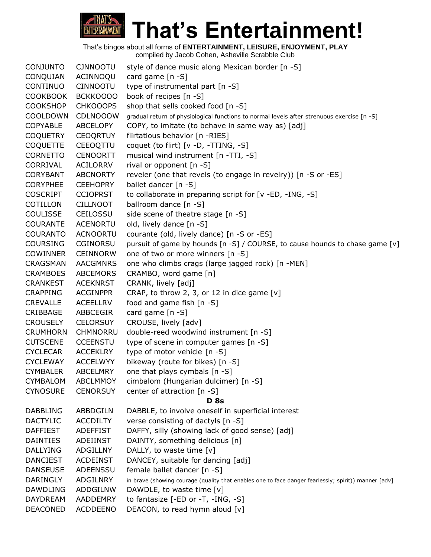# **That's Entertainment! ENTERTAINMENT**

That's bingos about all forms of **ENTERTAINMENT, LEISURE, ENJOYMENT, PLAY**

| <b>CONJUNTO</b> | <b>CJNNOOTU</b> | style of dance music along Mexican border [n -S]                                                     |
|-----------------|-----------------|------------------------------------------------------------------------------------------------------|
| CONQUIAN        | ACINNOQU        | card game [n -S]                                                                                     |
| CONTINUO        | CINNOOTU        | type of instrumental part [n -S]                                                                     |
| <b>COOKBOOK</b> | BCKKOOOO        | book of recipes [n -S]                                                                               |
| <b>COOKSHOP</b> | <b>CHKOOOPS</b> | shop that sells cooked food [n -S]                                                                   |
| <b>COOLDOWN</b> | <b>CDLNOOOW</b> | gradual return of physiological functions to normal levels after strenuous exercise [n -S]           |
| <b>COPYABLE</b> | ABCELOPY        | COPY, to imitate (to behave in same way as) [adj]                                                    |
| <b>COQUETRY</b> | <b>CEOQRTUY</b> | flirtatious behavior [n -RIES]                                                                       |
| <b>COQUETTE</b> | <b>CEEOQTTU</b> | coquet (to flirt) [v -D, -TTING, -S]                                                                 |
| <b>CORNETTO</b> | <b>CENOORTT</b> | musical wind instrument [n -TTI, -S]                                                                 |
| CORRIVAL        | ACILORRV        | rival or opponent [n -S]                                                                             |
| <b>CORYBANT</b> | <b>ABCNORTY</b> | reveler (one that revels (to engage in revelry)) [n -S or -ES]                                       |
| <b>CORYPHEE</b> | <b>CEEHOPRY</b> | ballet dancer [n -S]                                                                                 |
| <b>COSCRIPT</b> | <b>CCIOPRST</b> | to collaborate in preparing script for [v -ED, -ING, -S]                                             |
| COTILLON        | <b>CILLNOOT</b> | ballroom dance [n -S]                                                                                |
| <b>COULISSE</b> | <b>CEILOSSU</b> | side scene of theatre stage [n -S]                                                                   |
| <b>COURANTE</b> | <b>ACENORTU</b> | old, lively dance [n -S]                                                                             |
| <b>COURANTO</b> | <b>ACNOORTU</b> | courante (old, lively dance) [n -S or -ES]                                                           |
| <b>COURSING</b> | CGINORSU        | pursuit of game by hounds [n -S] / COURSE, to cause hounds to chase game [v]                         |
| <b>COWINNER</b> | <b>CEINNORW</b> | one of two or more winners [n -S]                                                                    |
| <b>CRAGSMAN</b> | <b>AACGMNRS</b> | one who climbs crags (large jagged rock) [n -MEN]                                                    |
| <b>CRAMBOES</b> | <b>ABCEMORS</b> | CRAMBO, word game [n]                                                                                |
| <b>CRANKEST</b> | <b>ACEKNRST</b> | CRANK, lively [adj]                                                                                  |
| <b>CRAPPING</b> | <b>ACGINPPR</b> | CRAP, to throw 2, 3, or 12 in dice game $[v]$                                                        |
| <b>CREVALLE</b> | <b>ACEELLRV</b> | food and game fish [n -S]                                                                            |
| CRIBBAGE        | ABBCEGIR        | card game [n -S]                                                                                     |
| <b>CROUSELY</b> | <b>CELORSUY</b> | CROUSE, lively [adv]                                                                                 |
| <b>CRUMHORN</b> | <b>CHMNORRU</b> | double-reed woodwind instrument [n -S]                                                               |
| <b>CUTSCENE</b> | <b>CCEENSTU</b> | type of scene in computer games [n -S]                                                               |
| <b>CYCLECAR</b> | <b>ACCEKLRY</b> | type of motor vehicle [n -S]                                                                         |
| <b>CYCLEWAY</b> | <b>ACCELWYY</b> | bikeway (route for bikes) [n -S]                                                                     |
| <b>CYMBALER</b> | <b>ABCELMRY</b> | one that plays cymbals [n -S]                                                                        |
| <b>CYMBALOM</b> | <b>ABCLMMOY</b> | cimbalom (Hungarian dulcimer) [n -S]                                                                 |
| <b>CYNOSURE</b> | <b>CENORSUY</b> | center of attraction [n -S]                                                                          |
|                 |                 | <b>D</b> 8s                                                                                          |
| <b>DABBLING</b> | ABBDGILN        | DABBLE, to involve oneself in superficial interest                                                   |
| <b>DACTYLIC</b> | <b>ACCDILTY</b> | verse consisting of dactyls [n -S]                                                                   |
| <b>DAFFIEST</b> | <b>ADEFFIST</b> | DAFFY, silly (showing lack of good sense) [adj]                                                      |
| <b>DAINTIES</b> | ADEIINST        | DAINTY, something delicious [n]                                                                      |
| <b>DALLYING</b> | <b>ADGILLNY</b> | DALLY, to waste time [v]                                                                             |
| <b>DANCIEST</b> | <b>ACDEINST</b> | DANCEY, suitable for dancing [adj]                                                                   |
| <b>DANSEUSE</b> | ADEENSSU        | female ballet dancer [n -S]                                                                          |
| DARINGLY        | ADGILNRY        | in brave (showing courage (quality that enables one to face danger fearlessly; spirit)) manner [adv] |
| <b>DAWDLING</b> | ADDGILNW        | DAWDLE, to waste time [v]                                                                            |
| DAYDREAM        | AADDEMRY        | to fantasize $[-ED$ or $-T$ , $-ING$ , $-S]$                                                         |
| <b>DEACONED</b> | ACDDEENO        | DEACON, to read hymn aloud [v]                                                                       |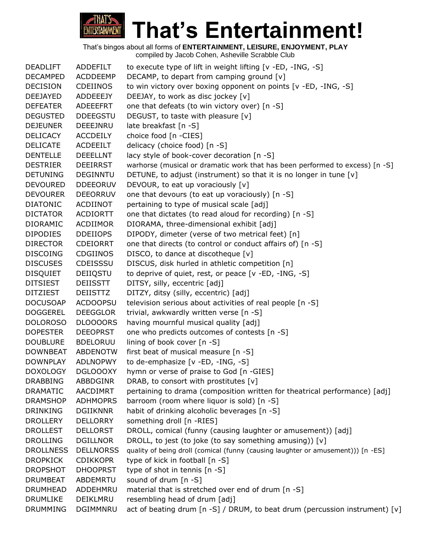

| <b>DEADLIFT</b>  | ADDEFILT         | to execute type of lift in weight lifting [v -ED, -ING, -S]                      |
|------------------|------------------|----------------------------------------------------------------------------------|
| <b>DECAMPED</b>  | <b>ACDDEEMP</b>  | DECAMP, to depart from camping ground [v]                                        |
| <b>DECISION</b>  | <b>CDEIINOS</b>  | to win victory over boxing opponent on points [v -ED, -ING, -S]                  |
| <b>DEEJAYED</b>  | <b>ADDEEEJY</b>  | DEEJAY, to work as disc jockey [v]                                               |
| <b>DEFEATER</b>  | ADEEEFRT         | one that defeats (to win victory over) [n -S]                                    |
| <b>DEGUSTED</b>  | <b>DDEEGSTU</b>  | DEGUST, to taste with pleasure [v]                                               |
| <b>DEJEUNER</b>  | DEEEJNRU         | late breakfast [n -S]                                                            |
| <b>DELICACY</b>  | <b>ACCDEILY</b>  | choice food [n -CIES]                                                            |
| <b>DELICATE</b>  | <b>ACDEEILT</b>  | delicacy (choice food) [n -S]                                                    |
| <b>DENTELLE</b>  | <b>DEEELLNT</b>  | lacy style of book-cover decoration [n -S]                                       |
| <b>DESTRIER</b>  | <b>DEEIRRST</b>  | warhorse (musical or dramatic work that has been performed to excess) [n -S]     |
| <b>DETUNING</b>  | <b>DEGINNTU</b>  | DETUNE, to adjust (instrument) so that it is no longer in tune [v]               |
| <b>DEVOURED</b>  | <b>DDEEORUV</b>  | DEVOUR, to eat up voraciously [v]                                                |
| <b>DEVOURER</b>  | <b>DEEORRUV</b>  | one that devours (to eat up voraciously) [n -S]                                  |
| <b>DIATONIC</b>  | <b>ACDIINOT</b>  | pertaining to type of musical scale [adj]                                        |
| <b>DICTATOR</b>  | <b>ACDIORTT</b>  | one that dictates (to read aloud for recording) [n -S]                           |
| <b>DIORAMIC</b>  | ACDIIMOR         | DIORAMA, three-dimensional exhibit [adj]                                         |
| <b>DIPODIES</b>  | <b>DDEIIOPS</b>  | DIPODY, dimeter (verse of two metrical feet) [n]                                 |
| <b>DIRECTOR</b>  | <b>CDEIORRT</b>  | one that directs (to control or conduct affairs of) [n -S]                       |
| <b>DISCOING</b>  | <b>CDGIINOS</b>  | DISCO, to dance at discotheque [v]                                               |
| <b>DISCUSES</b>  | CDEISSSU         | DISCUS, disk hurled in athletic competition [n]                                  |
| <b>DISQUIET</b>  | DEIIQSTU         | to deprive of quiet, rest, or peace [v -ED, -ING, -S]                            |
| <b>DITSIEST</b>  | <b>DEIISSTT</b>  | DITSY, silly, eccentric [adj]                                                    |
| <b>DITZIEST</b>  | <b>DEIISTTZ</b>  | DITZY, ditsy (silly, eccentric) [adj]                                            |
| <b>DOCUSOAP</b>  | <b>ACDOOPSU</b>  | television serious about activities of real people [n -S]                        |
| <b>DOGGEREL</b>  | <b>DEEGGLOR</b>  | trivial, awkwardly written verse [n -S]                                          |
| <b>DOLOROSO</b>  | <b>DLOOOORS</b>  | having mournful musical quality [adj]                                            |
| <b>DOPESTER</b>  | <b>DEEOPRST</b>  | one who predicts outcomes of contests [n -S]                                     |
| <b>DOUBLURE</b>  | <b>BDELORUU</b>  | lining of book cover [n -S]                                                      |
| <b>DOWNBEAT</b>  | <b>ABDENOTW</b>  | first beat of musical measure [n -S]                                             |
| <b>DOWNPLAY</b>  | <b>ADLNOPWY</b>  | to de-emphasize [v -ED, -ING, -S]                                                |
| <b>DOXOLOGY</b>  | DGLOOOXY         | hymn or verse of praise to God [n -GIES]                                         |
| <b>DRABBING</b>  | ABBDGINR         | DRAB, to consort with prostitutes [v]                                            |
| <b>DRAMATIC</b>  | <b>AACDIMRT</b>  | pertaining to drama (composition written for theatrical performance) [adj]       |
| <b>DRAMSHOP</b>  | <b>ADHMOPRS</b>  | barroom (room where liquor is sold) [n -S]                                       |
| <b>DRINKING</b>  | <b>DGIIKNNR</b>  | habit of drinking alcoholic beverages [n -S]                                     |
| <b>DROLLERY</b>  | <b>DELLORRY</b>  | something droll [n -RIES]                                                        |
| <b>DROLLEST</b>  | <b>DELLORST</b>  | DROLL, comical (funny (causing laughter or amusement)) [adj]                     |
| <b>DROLLING</b>  | <b>DGILLNOR</b>  | DROLL, to jest (to joke (to say something amusing)) [v]                          |
| <b>DROLLNESS</b> | <b>DELLNORSS</b> | quality of being droll (comical (funny (causing laughter or amusement))) [n -ES] |
| <b>DROPKICK</b>  | <b>CDIKKOPR</b>  | type of kick in football [n -S]                                                  |
| <b>DROPSHOT</b>  | <b>DHOOPRST</b>  | type of shot in tennis [n -S]                                                    |
| <b>DRUMBEAT</b>  | ABDEMRTU         | sound of drum [n -S]                                                             |
| <b>DRUMHEAD</b>  | ADDEHMRU         | material that is stretched over end of drum [n -S]                               |
| <b>DRUMLIKE</b>  | DEIKLMRU         | resembling head of drum [adj]                                                    |
| <b>DRUMMING</b>  | DGIMMNRU         | act of beating drum [n -S] / DRUM, to beat drum (percussion instrument) [v]      |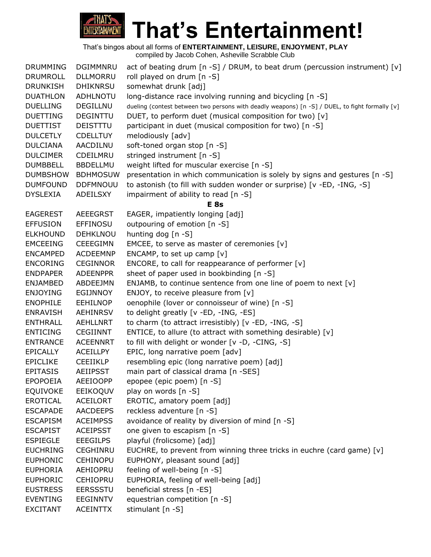### **That's Entertainment!** ENTERTAINMENT

That's bingos about all forms of **ENTERTAINMENT, LEISURE, ENJOYMENT, PLAY**

| <b>DRUMMING</b> | <b>DGIMMNRU</b> | act of beating drum [n -S] / DRUM, to beat drum (percussion instrument) [v]                    |
|-----------------|-----------------|------------------------------------------------------------------------------------------------|
| <b>DRUMROLL</b> | <b>DLLMORRU</b> | roll played on drum [n -S]                                                                     |
| <b>DRUNKISH</b> | <b>DHIKNRSU</b> | somewhat drunk [adj]                                                                           |
| <b>DUATHLON</b> | <b>ADHLNOTU</b> | long-distance race involving running and bicycling [n -S]                                      |
| <b>DUELLING</b> | DEGILLNU        | dueling (contest between two persons with deadly weapons) [n -S] / DUEL, to fight formally [v] |
| <b>DUETTING</b> | <b>DEGINTTU</b> | DUET, to perform duet (musical composition for two) [v]                                        |
| <b>DUETTIST</b> | DEISTTTU        | participant in duet (musical composition for two) [n -S]                                       |
| <b>DULCETLY</b> | <b>CDELLTUY</b> | melodiously [adv]                                                                              |
| <b>DULCIANA</b> | AACDILNU        | soft-toned organ stop [n -S]                                                                   |
| <b>DULCIMER</b> | CDEILMRU        | stringed instrument [n -S]                                                                     |
| <b>DUMBBELL</b> | <b>BBDELLMU</b> | weight lifted for muscular exercise [n -S]                                                     |
| <b>DUMBSHOW</b> | <b>BDHMOSUW</b> | presentation in which communication is solely by signs and gestures [n -S]                     |
| <b>DUMFOUND</b> | <b>DDFMNOUU</b> | to astonish (to fill with sudden wonder or surprise) [v -ED, -ING, -S]                         |
| <b>DYSLEXIA</b> | <b>ADEILSXY</b> | impairment of ability to read [n -S]                                                           |
|                 |                 | E <sub>8s</sub>                                                                                |
| <b>EAGEREST</b> | <b>AEEEGRST</b> | EAGER, impatiently longing [adj]                                                               |
| <b>EFFUSION</b> | EFFINOSU        | outpouring of emotion [n -S]                                                                   |
| <b>ELKHOUND</b> | <b>DEHKLNOU</b> | hunting dog $[n - S]$                                                                          |
| <b>EMCEEING</b> | <b>CEEEGIMN</b> | EMCEE, to serve as master of ceremonies [v]                                                    |
| <b>ENCAMPED</b> | <b>ACDEEMNP</b> | ENCAMP, to set up camp $[v]$                                                                   |
| <b>ENCORING</b> | <b>CEGINNOR</b> | ENCORE, to call for reappearance of performer [v]                                              |
| <b>ENDPAPER</b> | <b>ADEENPPR</b> | sheet of paper used in bookbinding [n -S]                                                      |
| <b>ENJAMBED</b> | ABDEEJMN        | ENJAMB, to continue sentence from one line of poem to next [v]                                 |
|                 |                 |                                                                                                |
| <b>ENJOYING</b> | <b>EGIJNNOY</b> | ENJOY, to receive pleasure from $[v]$                                                          |
| <b>ENOPHILE</b> | <b>EEHILNOP</b> | oenophile (lover or connoisseur of wine) [n -S]                                                |
| <b>ENRAVISH</b> | <b>AEHINRSV</b> | to delight greatly [v -ED, -ING, -ES]                                                          |
| <b>ENTHRALL</b> | <b>AEHLLNRT</b> | to charm (to attract irresistibly) [v -ED, -ING, -S]                                           |
| <b>ENTICING</b> | <b>CEGIINNT</b> | ENTICE, to allure (to attract with something desirable) [v]                                    |
| <b>ENTRANCE</b> | <b>ACEENNRT</b> | to fill with delight or wonder [v -D, -CING, -S]                                               |
| <b>EPICALLY</b> | <b>ACEILLPY</b> | EPIC, long narrative poem [adv]                                                                |
| <b>EPICLIKE</b> | <b>CEEIIKLP</b> | resembling epic (long narrative poem) [adj]                                                    |
| <b>EPITASIS</b> | <b>AEIIPSST</b> | main part of classical drama [n -SES]                                                          |
| <b>EPOPOEIA</b> | <b>AEEIOOPP</b> | epopee (epic poem) [n -S]                                                                      |
| <b>EQUIVOKE</b> | EEIKOQUV        | play on words [n -S]                                                                           |
| <b>EROTICAL</b> | <b>ACEILORT</b> | EROTIC, amatory poem [adj]                                                                     |
| <b>ESCAPADE</b> | <b>AACDEEPS</b> | reckless adventure [n -S]                                                                      |
| <b>ESCAPISM</b> | <b>ACEIMPSS</b> | avoidance of reality by diversion of mind [n -S]                                               |
| <b>ESCAPIST</b> | <b>ACEIPSST</b> | one given to escapism [n -S]                                                                   |
| <b>ESPIEGLE</b> | <b>EEEGILPS</b> | playful (frolicsome) [adj]                                                                     |
| <b>EUCHRING</b> | CEGHINRU        | EUCHRE, to prevent from winning three tricks in euchre (card game) $[v]$                       |
| <b>EUPHONIC</b> | <b>CEHINOPU</b> | EUPHONY, pleasant sound [adj]                                                                  |
| <b>EUPHORIA</b> | AEHIOPRU        | feeling of well-being [n -S]                                                                   |
| <b>EUPHORIC</b> | CEHIOPRU        | EUPHORIA, feeling of well-being [adj]                                                          |
| <b>EUSTRESS</b> | <b>EERSSSTU</b> | beneficial stress [n -ES]                                                                      |
| <b>EVENTING</b> | <b>EEGINNTV</b> | equestrian competition [n -S]                                                                  |
| <b>EXCITANT</b> | <b>ACEINTTX</b> | stimulant [n -S]                                                                               |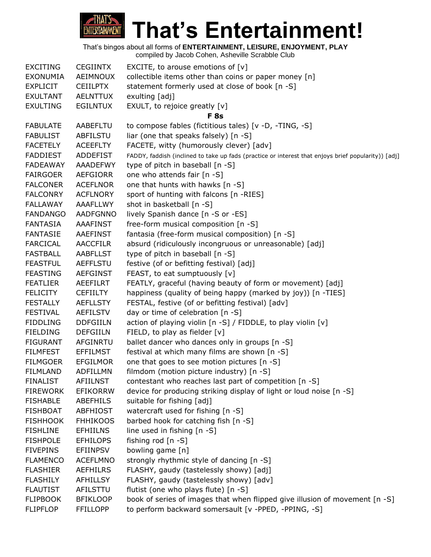

| <b>EXCITING</b> | <b>CEGIINTX</b> | EXCITE, to arouse emotions of $[v]$                                                                 |
|-----------------|-----------------|-----------------------------------------------------------------------------------------------------|
| <b>EXONUMIA</b> | AEIMNOUX        | collectible items other than coins or paper money [n]                                               |
| <b>EXPLICIT</b> | <b>CEIILPTX</b> | statement formerly used at close of book [n -S]                                                     |
| <b>EXULTANT</b> | <b>AELNTTUX</b> | exulting [adj]                                                                                      |
| <b>EXULTING</b> | <b>EGILNTUX</b> | EXULT, to rejoice greatly $[v]$                                                                     |
|                 |                 | <b>F</b> 8s                                                                                         |
| <b>FABULATE</b> | AABEFLTU        | to compose fables (fictitious tales) [v -D, -TING, -S]                                              |
| <b>FABULIST</b> | ABFILSTU        | liar (one that speaks falsely) [n -S]                                                               |
| <b>FACETELY</b> | <b>ACEEFLTY</b> | FACETE, witty (humorously clever) [adv]                                                             |
| <b>FADDIEST</b> | <b>ADDEFIST</b> | FADDY, faddish (inclined to take up fads (practice or interest that enjoys brief popularity)) [adj] |
| <b>FADEAWAY</b> | AAADEFWY        | type of pitch in baseball [n -S]                                                                    |
| <b>FAIRGOER</b> | <b>AEFGIORR</b> | one who attends fair [n -S]                                                                         |
| <b>FALCONER</b> | <b>ACEFLNOR</b> | one that hunts with hawks [n -S]                                                                    |
| <b>FALCONRY</b> | <b>ACFLNORY</b> | sport of hunting with falcons [n -RIES]                                                             |
| <b>FALLAWAY</b> | <b>AAAFLLWY</b> | shot in basketball [n -S]                                                                           |
| <b>FANDANGO</b> | <b>AADFGNNO</b> | lively Spanish dance [n -S or -ES]                                                                  |
| <b>FANTASIA</b> | <b>AAAFINST</b> | free-form musical composition [n -S]                                                                |
| <b>FANTASIE</b> | <b>AAEFINST</b> | fantasia (free-form musical composition) [n -S]                                                     |
| <b>FARCICAL</b> | <b>AACCFILR</b> | absurd (ridiculously incongruous or unreasonable) [adj]                                             |
| <b>FASTBALL</b> | <b>AABFLLST</b> | type of pitch in baseball [n -S]                                                                    |
| <b>FEASTFUL</b> | <b>AEFFLSTU</b> | festive (of or befitting festival) [adj]                                                            |
| <b>FEASTING</b> | <b>AEFGINST</b> | FEAST, to eat sumptuously [v]                                                                       |
| <b>FEATLIER</b> | <b>AEEFILRT</b> | FEATLY, graceful (having beauty of form or movement) [adj]                                          |
| <b>FELICITY</b> | <b>CEFIILTY</b> | happiness (quality of being happy (marked by joy)) [n -TIES]                                        |
| <b>FESTALLY</b> | <b>AEFLLSTY</b> | FESTAL, festive (of or befitting festival) [adv]                                                    |
| <b>FESTIVAL</b> | <b>AEFILSTV</b> | day or time of celebration [n -S]                                                                   |
| <b>FIDDLING</b> | <b>DDFGIILN</b> | action of playing violin [n -S] / FIDDLE, to play violin [v]                                        |
| <b>FIELDING</b> | <b>DEFGIILN</b> | FIELD, to play as fielder [v]                                                                       |
| <b>FIGURANT</b> | AFGINRTU        | ballet dancer who dances only in groups [n -S]                                                      |
| <b>FILMFEST</b> | <b>EFFILMST</b> | festival at which many films are shown [n -S]                                                       |
| <b>FILMGOER</b> | <b>EFGILMOR</b> | one that goes to see motion pictures [n -S]                                                         |
| <b>FILMLAND</b> | <b>ADFILLMN</b> | filmdom (motion picture industry) [n -S]                                                            |
| <b>FINALIST</b> | <b>AFIILNST</b> | contestant who reaches last part of competition [n -S]                                              |
| <b>FIREWORK</b> | <b>EFIKORRW</b> | device for producing striking display of light or loud noise [n -S]                                 |
| <b>FISHABLE</b> | <b>ABEFHILS</b> | suitable for fishing [adj]                                                                          |
| <b>FISHBOAT</b> | <b>ABFHIOST</b> | watercraft used for fishing [n -S]                                                                  |
| <b>FISHHOOK</b> | <b>FHHIKOOS</b> | barbed hook for catching fish [n -S]                                                                |
| <b>FISHLINE</b> | <b>EFHIILNS</b> | line used in fishing [n -S]                                                                         |
| <b>FISHPOLE</b> | <b>EFHILOPS</b> | fishing rod [n -S]                                                                                  |
| <b>FIVEPINS</b> | <b>EFIINPSV</b> | bowling game [n]                                                                                    |
| <b>FLAMENCO</b> | <b>ACEFLMNO</b> | strongly rhythmic style of dancing [n -S]                                                           |
| <b>FLASHIER</b> | <b>AEFHILRS</b> | FLASHY, gaudy (tastelessly showy) [adj]                                                             |
| <b>FLASHILY</b> | <b>AFHILLSY</b> | FLASHY, gaudy (tastelessly showy) [adv]                                                             |
| <b>FLAUTIST</b> | AFILSTTU        | flutist (one who plays flute) [n -S]                                                                |
| <b>FLIPBOOK</b> | <b>BFIKLOOP</b> | book of series of images that when flipped give illusion of movement [n -S]                         |
| <b>FLIPFLOP</b> | <b>FFILLOPP</b> | to perform backward somersault [v -PPED, -PPING, -S]                                                |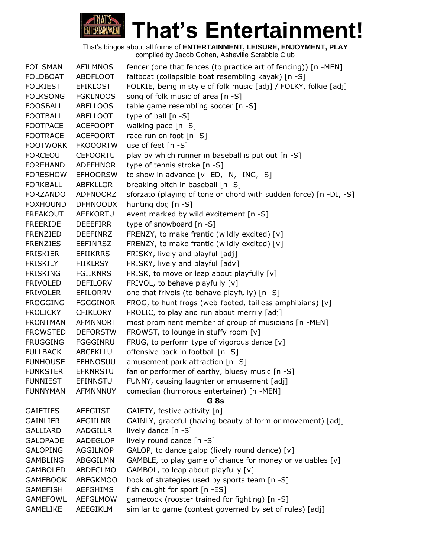

| <b>FOILSMAN</b> | <b>AFILMNOS</b> | fencer (one that fences (to practice art of fencing)) [n -MEN]    |
|-----------------|-----------------|-------------------------------------------------------------------|
| <b>FOLDBOAT</b> | <b>ABDFLOOT</b> | faltboat (collapsible boat resembling kayak) [n -S]               |
| <b>FOLKIEST</b> | <b>EFIKLOST</b> | FOLKIE, being in style of folk music [adj] / FOLKY, folkie [adj]  |
| <b>FOLKSONG</b> | <b>FGKLNOOS</b> | song of folk music of area [n -S]                                 |
| <b>FOOSBALL</b> | <b>ABFLLOOS</b> | table game resembling soccer [n -S]                               |
| <b>FOOTBALL</b> | ABFLLOOT        | type of ball $[n - S]$                                            |
| <b>FOOTPACE</b> | <b>ACEFOOPT</b> | walking pace [n -S]                                               |
| <b>FOOTRACE</b> | <b>ACEFOORT</b> | race run on foot [n -S]                                           |
| <b>FOOTWORK</b> | <b>FKOOORTW</b> | use of feet [n -S]                                                |
| <b>FORCEOUT</b> | <b>CEFOORTU</b> | play by which runner in baseball is put out [n -S]                |
| <b>FOREHAND</b> | <b>ADEFHNOR</b> | type of tennis stroke [n -S]                                      |
| <b>FORESHOW</b> | <b>EFHOORSW</b> | to show in advance $[v - ED, -N, -ING, -S]$                       |
| <b>FORKBALL</b> | ABFKLLOR        | breaking pitch in baseball [n -S]                                 |
| <b>FORZANDO</b> | <b>ADFNOORZ</b> | sforzato (playing of tone or chord with sudden force) [n -DI, -S] |
| <b>FOXHOUND</b> | <b>DFHNOOUX</b> | hunting dog [n -S]                                                |
| <b>FREAKOUT</b> | <b>AEFKORTU</b> | event marked by wild excitement [n -S]                            |
| <b>FREERIDE</b> | <b>DEEEFIRR</b> | type of snowboard $[n - S]$                                       |
| <b>FRENZIED</b> | <b>DEEFINRZ</b> | FRENZY, to make frantic (wildly excited) [v]                      |
| <b>FRENZIES</b> | <b>EEFINRSZ</b> | FRENZY, to make frantic (wildly excited) [v]                      |
| <b>FRISKIER</b> | <b>EFIIKRRS</b> | FRISKY, lively and playful [adj]                                  |
| <b>FRISKILY</b> | <b>FIIKLRSY</b> | FRISKY, lively and playful [adv]                                  |
| <b>FRISKING</b> | <b>FGIIKNRS</b> | FRISK, to move or leap about playfully [v]                        |
| <b>FRIVOLED</b> | <b>DEFILORV</b> | FRIVOL, to behave playfully [v]                                   |
| <b>FRIVOLER</b> | EFILORRV        | one that frivols (to behave playfully) [n -S]                     |
| <b>FROGGING</b> | <b>FGGGINOR</b> | FROG, to hunt frogs (web-footed, tailless amphibians) [v]         |
| <b>FROLICKY</b> | <b>CFIKLORY</b> | FROLIC, to play and run about merrily [adj]                       |
| <b>FRONTMAN</b> | <b>AFMNNORT</b> | most prominent member of group of musicians [n -MEN]              |
| <b>FROWSTED</b> | <b>DEFORSTW</b> | FROWST, to lounge in stuffy room [v]                              |
| <b>FRUGGING</b> | FGGGINRU        | FRUG, to perform type of vigorous dance [v]                       |
| <b>FULLBACK</b> | <b>ABCFKLLU</b> | offensive back in football [n -S]                                 |
| <b>FUNHOUSE</b> | <b>EFHNOSUU</b> | amusement park attraction [n -S]                                  |
| <b>FUNKSTER</b> | <b>EFKNRSTU</b> | fan or performer of earthy, bluesy music [n -S]                   |
| <b>FUNNIEST</b> | <b>EFINNSTU</b> | FUNNY, causing laughter or amusement [adj]                        |
| <b>FUNNYMAN</b> | <b>AFMNNNUY</b> | comedian (humorous entertainer) [n -MEN]                          |
|                 |                 | G 8s                                                              |
| <b>GAIETIES</b> | <b>AEEGIIST</b> | GAIETY, festive activity [n]                                      |
| <b>GAINLIER</b> | <b>AEGIILNR</b> | GAINLY, graceful (having beauty of form or movement) [adj]        |
| <b>GALLIARD</b> | <b>AADGILLR</b> | lively dance $[n - S]$                                            |
| <b>GALOPADE</b> | <b>AADEGLOP</b> | lively round dance [n -S]                                         |
| <b>GALOPING</b> | AGGILNOP        | GALOP, to dance galop (lively round dance) [v]                    |
| <b>GAMBLING</b> | ABGGILMN        | GAMBLE, to play game of chance for money or valuables [v]         |
| <b>GAMBOLED</b> | <b>ABDEGLMO</b> | GAMBOL, to leap about playfully [v]                               |
| <b>GAMEBOOK</b> | <b>ABEGKMOO</b> | book of strategies used by sports team [n -S]                     |
| <b>GAMEFISH</b> | <b>AEFGHIMS</b> | fish caught for sport [n -ES]                                     |
| <b>GAMEFOWL</b> | <b>AEFGLMOW</b> | gamecock (rooster trained for fighting) [n -S]                    |
| <b>GAMELIKE</b> | AEEGIKLM        | similar to game (contest governed by set of rules) [adj]          |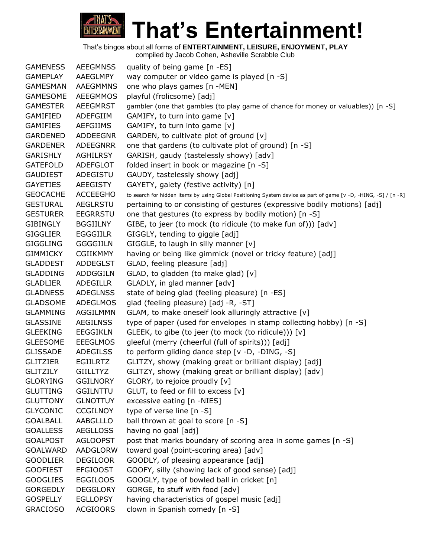

| <b>GAMEPLAY</b><br>AAEGLMPY<br>way computer or video game is played [n -S]<br>one who plays games [n -MEN]<br><b>GAMESMAN</b><br>AAEGMMNS<br><b>GAMESOME</b><br><b>AEEGMMOS</b><br>playful (frolicsome) [adj]<br><b>GAMESTER</b><br><b>AEEGMRST</b><br>gambler (one that gambles (to play game of chance for money or valuables)) [n -S]<br>GAMIFIED<br>ADEFGIIM<br>GAMIFY, to turn into game [v]<br><b>GAMIFIES</b><br><b>AEFGIIMS</b><br>GAMIFY, to turn into game [v]<br>GARDEN, to cultivate plot of ground [v]<br><b>GARDENED</b><br>ADDEEGNR<br><b>ADEEGNRR</b><br>one that gardens (to cultivate plot of ground) [n -S]<br><b>GARDENER</b><br><b>GARISHLY</b><br><b>AGHILRSY</b><br>GARISH, gaudy (tastelessly showy) [adv]<br><b>GATEFOLD</b><br><b>ADEFGLOT</b><br>folded insert in book or magazine [n -S]<br>GAUDY, tastelessly showy [adj]<br><b>GAUDIEST</b><br>ADEGISTU<br>GAYETY, gaiety (festive activity) [n]<br><b>GAYETIES</b><br>AEEGISTY<br><b>GEOCACHE</b><br><b>ACCEEGHO</b><br>to search for hidden items by using Global Positioning System device as part of game [v -D, -HING, -S] / [n -R]<br>pertaining to or consisting of gestures (expressive bodily motions) [adj]<br><b>GESTURAL</b><br><b>AEGLRSTU</b><br>one that gestures (to express by bodily motion) [n -S]<br><b>GESTURER</b><br><b>EEGRRSTU</b><br><b>GIBINGLY</b><br><b>BGGIILNY</b><br>GIBE, to jeer (to mock (to ridicule (to make fun of))) [adv]<br>GIGGLY, tending to giggle [adj]<br><b>GIGGLIER</b><br><b>EGGGIILR</b><br>GIGGLE, to laugh in silly manner [v]<br><b>GIGGLING</b><br><b>GGGGIILN</b> |
|--------------------------------------------------------------------------------------------------------------------------------------------------------------------------------------------------------------------------------------------------------------------------------------------------------------------------------------------------------------------------------------------------------------------------------------------------------------------------------------------------------------------------------------------------------------------------------------------------------------------------------------------------------------------------------------------------------------------------------------------------------------------------------------------------------------------------------------------------------------------------------------------------------------------------------------------------------------------------------------------------------------------------------------------------------------------------------------------------------------------------------------------------------------------------------------------------------------------------------------------------------------------------------------------------------------------------------------------------------------------------------------------------------------------------------------------------------------------------------------------------------------------------------------------------------------------------------------------------------|
|                                                                                                                                                                                                                                                                                                                                                                                                                                                                                                                                                                                                                                                                                                                                                                                                                                                                                                                                                                                                                                                                                                                                                                                                                                                                                                                                                                                                                                                                                                                                                                                                        |
|                                                                                                                                                                                                                                                                                                                                                                                                                                                                                                                                                                                                                                                                                                                                                                                                                                                                                                                                                                                                                                                                                                                                                                                                                                                                                                                                                                                                                                                                                                                                                                                                        |
|                                                                                                                                                                                                                                                                                                                                                                                                                                                                                                                                                                                                                                                                                                                                                                                                                                                                                                                                                                                                                                                                                                                                                                                                                                                                                                                                                                                                                                                                                                                                                                                                        |
|                                                                                                                                                                                                                                                                                                                                                                                                                                                                                                                                                                                                                                                                                                                                                                                                                                                                                                                                                                                                                                                                                                                                                                                                                                                                                                                                                                                                                                                                                                                                                                                                        |
|                                                                                                                                                                                                                                                                                                                                                                                                                                                                                                                                                                                                                                                                                                                                                                                                                                                                                                                                                                                                                                                                                                                                                                                                                                                                                                                                                                                                                                                                                                                                                                                                        |
|                                                                                                                                                                                                                                                                                                                                                                                                                                                                                                                                                                                                                                                                                                                                                                                                                                                                                                                                                                                                                                                                                                                                                                                                                                                                                                                                                                                                                                                                                                                                                                                                        |
|                                                                                                                                                                                                                                                                                                                                                                                                                                                                                                                                                                                                                                                                                                                                                                                                                                                                                                                                                                                                                                                                                                                                                                                                                                                                                                                                                                                                                                                                                                                                                                                                        |
|                                                                                                                                                                                                                                                                                                                                                                                                                                                                                                                                                                                                                                                                                                                                                                                                                                                                                                                                                                                                                                                                                                                                                                                                                                                                                                                                                                                                                                                                                                                                                                                                        |
|                                                                                                                                                                                                                                                                                                                                                                                                                                                                                                                                                                                                                                                                                                                                                                                                                                                                                                                                                                                                                                                                                                                                                                                                                                                                                                                                                                                                                                                                                                                                                                                                        |
|                                                                                                                                                                                                                                                                                                                                                                                                                                                                                                                                                                                                                                                                                                                                                                                                                                                                                                                                                                                                                                                                                                                                                                                                                                                                                                                                                                                                                                                                                                                                                                                                        |
|                                                                                                                                                                                                                                                                                                                                                                                                                                                                                                                                                                                                                                                                                                                                                                                                                                                                                                                                                                                                                                                                                                                                                                                                                                                                                                                                                                                                                                                                                                                                                                                                        |
|                                                                                                                                                                                                                                                                                                                                                                                                                                                                                                                                                                                                                                                                                                                                                                                                                                                                                                                                                                                                                                                                                                                                                                                                                                                                                                                                                                                                                                                                                                                                                                                                        |
|                                                                                                                                                                                                                                                                                                                                                                                                                                                                                                                                                                                                                                                                                                                                                                                                                                                                                                                                                                                                                                                                                                                                                                                                                                                                                                                                                                                                                                                                                                                                                                                                        |
|                                                                                                                                                                                                                                                                                                                                                                                                                                                                                                                                                                                                                                                                                                                                                                                                                                                                                                                                                                                                                                                                                                                                                                                                                                                                                                                                                                                                                                                                                                                                                                                                        |
|                                                                                                                                                                                                                                                                                                                                                                                                                                                                                                                                                                                                                                                                                                                                                                                                                                                                                                                                                                                                                                                                                                                                                                                                                                                                                                                                                                                                                                                                                                                                                                                                        |
|                                                                                                                                                                                                                                                                                                                                                                                                                                                                                                                                                                                                                                                                                                                                                                                                                                                                                                                                                                                                                                                                                                                                                                                                                                                                                                                                                                                                                                                                                                                                                                                                        |
|                                                                                                                                                                                                                                                                                                                                                                                                                                                                                                                                                                                                                                                                                                                                                                                                                                                                                                                                                                                                                                                                                                                                                                                                                                                                                                                                                                                                                                                                                                                                                                                                        |
|                                                                                                                                                                                                                                                                                                                                                                                                                                                                                                                                                                                                                                                                                                                                                                                                                                                                                                                                                                                                                                                                                                                                                                                                                                                                                                                                                                                                                                                                                                                                                                                                        |
| <b>GIMMICKY</b><br><b>CGIIKMMY</b><br>having or being like gimmick (novel or tricky feature) [adj]                                                                                                                                                                                                                                                                                                                                                                                                                                                                                                                                                                                                                                                                                                                                                                                                                                                                                                                                                                                                                                                                                                                                                                                                                                                                                                                                                                                                                                                                                                     |
| GLAD, feeling pleasure [adj]<br><b>GLADDEST</b><br><b>ADDEGLST</b>                                                                                                                                                                                                                                                                                                                                                                                                                                                                                                                                                                                                                                                                                                                                                                                                                                                                                                                                                                                                                                                                                                                                                                                                                                                                                                                                                                                                                                                                                                                                     |
| <b>GLADDING</b><br>ADDGGILN<br>GLAD, to gladden (to make glad) [v]                                                                                                                                                                                                                                                                                                                                                                                                                                                                                                                                                                                                                                                                                                                                                                                                                                                                                                                                                                                                                                                                                                                                                                                                                                                                                                                                                                                                                                                                                                                                     |
| <b>GLADLIER</b><br><b>ADEGILLR</b><br>GLADLY, in glad manner [adv]                                                                                                                                                                                                                                                                                                                                                                                                                                                                                                                                                                                                                                                                                                                                                                                                                                                                                                                                                                                                                                                                                                                                                                                                                                                                                                                                                                                                                                                                                                                                     |
| state of being glad (feeling pleasure) [n -ES]<br><b>GLADNESS</b><br><b>ADEGLNSS</b>                                                                                                                                                                                                                                                                                                                                                                                                                                                                                                                                                                                                                                                                                                                                                                                                                                                                                                                                                                                                                                                                                                                                                                                                                                                                                                                                                                                                                                                                                                                   |
| <b>GLADSOME</b><br><b>ADEGLMOS</b><br>glad (feeling pleasure) [adj -R, -ST]                                                                                                                                                                                                                                                                                                                                                                                                                                                                                                                                                                                                                                                                                                                                                                                                                                                                                                                                                                                                                                                                                                                                                                                                                                                                                                                                                                                                                                                                                                                            |
| GLAM, to make oneself look alluringly attractive [v]<br><b>GLAMMING</b><br>AGGILMMN                                                                                                                                                                                                                                                                                                                                                                                                                                                                                                                                                                                                                                                                                                                                                                                                                                                                                                                                                                                                                                                                                                                                                                                                                                                                                                                                                                                                                                                                                                                    |
| type of paper (used for envelopes in stamp collecting hobby) [n -S]<br><b>GLASSINE</b><br><b>AEGILNSS</b>                                                                                                                                                                                                                                                                                                                                                                                                                                                                                                                                                                                                                                                                                                                                                                                                                                                                                                                                                                                                                                                                                                                                                                                                                                                                                                                                                                                                                                                                                              |
| <b>GLEEKING</b><br><b>EEGGIKLN</b><br>GLEEK, to gibe (to jeer (to mock (to ridicule))) [v]                                                                                                                                                                                                                                                                                                                                                                                                                                                                                                                                                                                                                                                                                                                                                                                                                                                                                                                                                                                                                                                                                                                                                                                                                                                                                                                                                                                                                                                                                                             |
| gleeful (merry (cheerful (full of spirits))) [adj]<br><b>GLEESOME</b><br><b>EEEGLMOS</b>                                                                                                                                                                                                                                                                                                                                                                                                                                                                                                                                                                                                                                                                                                                                                                                                                                                                                                                                                                                                                                                                                                                                                                                                                                                                                                                                                                                                                                                                                                               |
| <b>ADEGILSS</b><br>to perform gliding dance step [v -D, -DING, -S]<br><b>GLISSADE</b>                                                                                                                                                                                                                                                                                                                                                                                                                                                                                                                                                                                                                                                                                                                                                                                                                                                                                                                                                                                                                                                                                                                                                                                                                                                                                                                                                                                                                                                                                                                  |
| GLITZY, showy (making great or brilliant display) [adj]<br><b>GLITZIER</b><br><b>EGIILRTZ</b>                                                                                                                                                                                                                                                                                                                                                                                                                                                                                                                                                                                                                                                                                                                                                                                                                                                                                                                                                                                                                                                                                                                                                                                                                                                                                                                                                                                                                                                                                                          |
| GLITZY, showy (making great or brilliant display) [adv]<br><b>GLITZILY</b><br><b>GIILLTYZ</b>                                                                                                                                                                                                                                                                                                                                                                                                                                                                                                                                                                                                                                                                                                                                                                                                                                                                                                                                                                                                                                                                                                                                                                                                                                                                                                                                                                                                                                                                                                          |
| <b>GLORYING</b><br><b>GGILNORY</b><br>GLORY, to rejoice proudly [v]                                                                                                                                                                                                                                                                                                                                                                                                                                                                                                                                                                                                                                                                                                                                                                                                                                                                                                                                                                                                                                                                                                                                                                                                                                                                                                                                                                                                                                                                                                                                    |
| <b>GLUTTING</b><br>GGILNTTU<br>GLUT, to feed or fill to excess [v]                                                                                                                                                                                                                                                                                                                                                                                                                                                                                                                                                                                                                                                                                                                                                                                                                                                                                                                                                                                                                                                                                                                                                                                                                                                                                                                                                                                                                                                                                                                                     |
| excessive eating [n -NIES]<br><b>GLUTTONY</b><br><b>GLNOTTUY</b>                                                                                                                                                                                                                                                                                                                                                                                                                                                                                                                                                                                                                                                                                                                                                                                                                                                                                                                                                                                                                                                                                                                                                                                                                                                                                                                                                                                                                                                                                                                                       |
| type of verse line [n -S]<br><b>GLYCONIC</b><br><b>CCGILNOY</b>                                                                                                                                                                                                                                                                                                                                                                                                                                                                                                                                                                                                                                                                                                                                                                                                                                                                                                                                                                                                                                                                                                                                                                                                                                                                                                                                                                                                                                                                                                                                        |
| <b>GOALBALL</b><br><b>AABGLLLO</b><br>ball thrown at goal to score [n -S]                                                                                                                                                                                                                                                                                                                                                                                                                                                                                                                                                                                                                                                                                                                                                                                                                                                                                                                                                                                                                                                                                                                                                                                                                                                                                                                                                                                                                                                                                                                              |
| <b>GOALLESS</b><br><b>AEGLLOSS</b><br>having no goal [adj]                                                                                                                                                                                                                                                                                                                                                                                                                                                                                                                                                                                                                                                                                                                                                                                                                                                                                                                                                                                                                                                                                                                                                                                                                                                                                                                                                                                                                                                                                                                                             |
| <b>GOALPOST</b><br><b>AGLOOPST</b><br>post that marks boundary of scoring area in some games [n -S]                                                                                                                                                                                                                                                                                                                                                                                                                                                                                                                                                                                                                                                                                                                                                                                                                                                                                                                                                                                                                                                                                                                                                                                                                                                                                                                                                                                                                                                                                                    |
| <b>AADGLORW</b><br>toward goal (point-scoring area) [adv]<br><b>GOALWARD</b>                                                                                                                                                                                                                                                                                                                                                                                                                                                                                                                                                                                                                                                                                                                                                                                                                                                                                                                                                                                                                                                                                                                                                                                                                                                                                                                                                                                                                                                                                                                           |
| <b>GOODLIER</b><br><b>DEGILOOR</b><br>GOODLY, of pleasing appearance [adj]                                                                                                                                                                                                                                                                                                                                                                                                                                                                                                                                                                                                                                                                                                                                                                                                                                                                                                                                                                                                                                                                                                                                                                                                                                                                                                                                                                                                                                                                                                                             |
| GOOFY, silly (showing lack of good sense) [adj]<br><b>GOOFIEST</b><br><b>EFGIOOST</b>                                                                                                                                                                                                                                                                                                                                                                                                                                                                                                                                                                                                                                                                                                                                                                                                                                                                                                                                                                                                                                                                                                                                                                                                                                                                                                                                                                                                                                                                                                                  |
| GOOGLY, type of bowled ball in cricket [n]<br><b>GOOGLIES</b><br><b>EGGILOOS</b>                                                                                                                                                                                                                                                                                                                                                                                                                                                                                                                                                                                                                                                                                                                                                                                                                                                                                                                                                                                                                                                                                                                                                                                                                                                                                                                                                                                                                                                                                                                       |
| <b>GORGEDLY</b><br><b>DEGGLORY</b><br>GORGE, to stuff with food [adv]                                                                                                                                                                                                                                                                                                                                                                                                                                                                                                                                                                                                                                                                                                                                                                                                                                                                                                                                                                                                                                                                                                                                                                                                                                                                                                                                                                                                                                                                                                                                  |
| <b>GOSPELLY</b><br><b>EGLLOPSY</b><br>having characteristics of gospel music [adj]                                                                                                                                                                                                                                                                                                                                                                                                                                                                                                                                                                                                                                                                                                                                                                                                                                                                                                                                                                                                                                                                                                                                                                                                                                                                                                                                                                                                                                                                                                                     |
| clown in Spanish comedy [n -S]<br><b>GRACIOSO</b><br><b>ACGIOORS</b>                                                                                                                                                                                                                                                                                                                                                                                                                                                                                                                                                                                                                                                                                                                                                                                                                                                                                                                                                                                                                                                                                                                                                                                                                                                                                                                                                                                                                                                                                                                                   |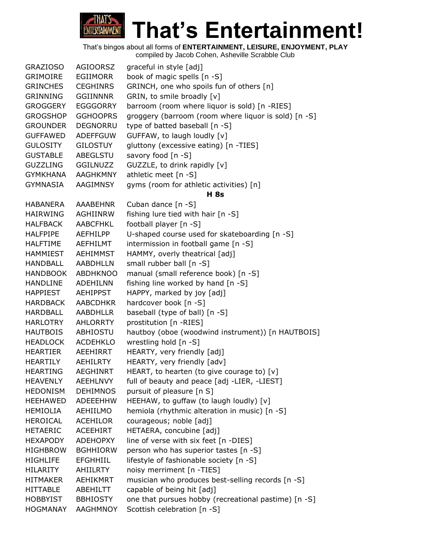

| <b>GRAZIOSO</b> | <b>AGIOORSZ</b> | graceful in style [adj]                              |
|-----------------|-----------------|------------------------------------------------------|
| <b>GRIMOIRE</b> | EGIIMORR        | book of magic spells [n -S]                          |
| <b>GRINCHES</b> | <b>CEGHINRS</b> | GRINCH, one who spoils fun of others [n]             |
| GRINNING        | <b>GGIINNNR</b> | GRIN, to smile broadly [v]                           |
| <b>GROGGERY</b> | <b>EGGGORRY</b> | barroom (room where liquor is sold) [n -RIES]        |
| <b>GROGSHOP</b> | <b>GGHOOPRS</b> | groggery (barroom (room where liquor is sold) [n -S] |
| <b>GROUNDER</b> | <b>DEGNORRU</b> | type of batted baseball [n -S]                       |
| <b>GUFFAWED</b> | <b>ADEFFGUW</b> | GUFFAW, to laugh loudly [v]                          |
| <b>GULOSITY</b> | <b>GILOSTUY</b> | gluttony (excessive eating) [n -TIES]                |
| <b>GUSTABLE</b> | ABEGLSTU        | savory food [n -S]                                   |
| <b>GUZZLING</b> | <b>GGILNUZZ</b> | GUZZLE, to drink rapidly [v]                         |
| GYMKHANA        | AAGHKMNY        | athletic meet [n -S]                                 |
| GYMNASIA        | AAGIMNSY        | gyms (room for athletic activities) [n]              |
|                 |                 | <b>H</b> 8s                                          |
| HABANERA        | AAABEHNR        | Cuban dance $[n - S]$                                |
| HAIRWING        | AGHIINRW        | fishing lure tied with hair [n -S]                   |
| <b>HALFBACK</b> | <b>AABCFHKL</b> | football player [n -S]                               |
| <b>HALFPIPE</b> | AEFHILPP        | U-shaped course used for skateboarding [n -S]        |
| <b>HALFTIME</b> | AEFHILMT        | intermission in football game [n -S]                 |
| HAMMIEST        | AEHIMMST        | HAMMY, overly theatrical [adj]                       |
| HANDBALL        | <b>AABDHLLN</b> | small rubber ball [n -S]                             |
| HANDBOOK        | <b>ABDHKNOO</b> | manual (small reference book) [n -S]                 |
| HANDLINE        | <b>ADEHILNN</b> | fishing line worked by hand [n -S]                   |
| <b>HAPPIEST</b> | <b>AEHIPPST</b> | HAPPY, marked by joy [adj]                           |
| <b>HARDBACK</b> | <b>AABCDHKR</b> | hardcover book [n -S]                                |
| HARDBALL        | AABDHLLR        | baseball (type of ball) [n -S]                       |
| HARLOTRY        | AHLORRTY        | prostitution [n -RIES]                               |
| <b>HAUTBOIS</b> | ABHIOSTU        | hautboy (oboe (woodwind instrument)) [n HAUTBOIS]    |
| <b>HEADLOCK</b> | <b>ACDEHKLO</b> | wrestling hold [n -S]                                |
| <b>HEARTIER</b> | AEEHIRRT        | HEARTY, very friendly [adj]                          |
| HEARTILY        | AEHILRTY        | HEARTY, very friendly [adv]                          |
| <b>HEARTING</b> | <b>AEGHINRT</b> | HEART, to hearten (to give courage to) [v]           |
| <b>HEAVENLY</b> | <b>AEEHLNVY</b> | full of beauty and peace [adj -LIER, -LIEST]         |
| <b>HEDONISM</b> | <b>DEHIMNOS</b> | pursuit of pleasure [n S]                            |
| <b>HEEHAWED</b> | <b>ADEEEHHW</b> | HEEHAW, to guffaw (to laugh loudly) [v]              |
| <b>HEMIOLIA</b> | AEHIILMO        | hemiola (rhythmic alteration in music) [n -S]        |
| <b>HEROICAL</b> | <b>ACEHILOR</b> | courageous; noble [adj]                              |
| <b>HETAERIC</b> | <b>ACEEHIRT</b> | HETAERA, concubine [adj]                             |
| <b>HEXAPODY</b> | <b>ADEHOPXY</b> | line of verse with six feet [n -DIES]                |
| <b>HIGHBROW</b> | <b>BGHHIORW</b> | person who has superior tastes [n -S]                |
| <b>HIGHLIFE</b> | <b>EFGHHIIL</b> | lifestyle of fashionable society [n -S]              |
| <b>HILARITY</b> | AHIILRTY        | noisy merriment [n -TIES]                            |
| <b>HITMAKER</b> | AEHIKMRT        | musician who produces best-selling records [n -S]    |
| <b>HITTABLE</b> | ABEHILTT        | capable of being hit [adj]                           |
| <b>HOBBYIST</b> | <b>BBHIOSTY</b> | one that pursues hobby (recreational pastime) [n -S] |
| <b>HOGMANAY</b> | <b>AAGHMNOY</b> | Scottish celebration [n -S]                          |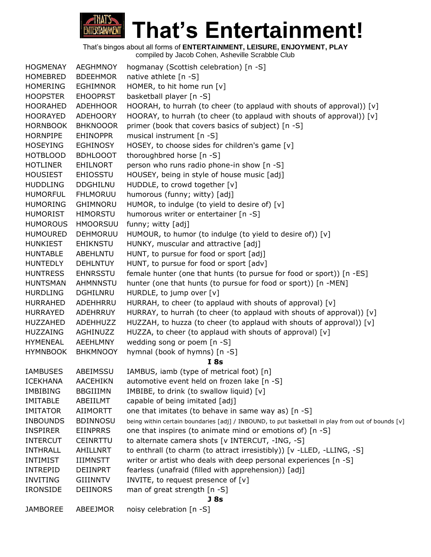

| <b>HOGMENAY</b> | <b>AEGHMNOY</b> | hogmanay (Scottish celebration) [n -S]                                                            |
|-----------------|-----------------|---------------------------------------------------------------------------------------------------|
| <b>HOMEBRED</b> | <b>BDEEHMOR</b> | native athlete [n -S]                                                                             |
| HOMERING        | <b>EGHIMNOR</b> | HOMER, to hit home run [v]                                                                        |
| <b>HOOPSTER</b> | <b>EHOOPRST</b> | basketball player [n -S]                                                                          |
| <b>HOORAHED</b> | <b>ADEHHOOR</b> | HOORAH, to hurrah (to cheer (to applaud with shouts of approval)) [v]                             |
| <b>HOORAYED</b> | <b>ADEHOORY</b> | HOORAY, to hurrah (to cheer (to applaud with shouts of approval)) [v]                             |
| <b>HORNBOOK</b> | <b>BHKNOOOR</b> | primer (book that covers basics of subject) [n -S]                                                |
| <b>HORNPIPE</b> | <b>EHINOPPR</b> | musical instrument [n -S]                                                                         |
| <b>HOSEYING</b> | <b>EGHINOSY</b> | HOSEY, to choose sides for children's game [v]                                                    |
| <b>HOTBLOOD</b> | <b>BDHLOOOT</b> | thoroughbred horse [n -S]                                                                         |
| <b>HOTLINER</b> | <b>EHILNORT</b> | person who runs radio phone-in show [n -S]                                                        |
| <b>HOUSIEST</b> | <b>EHIOSSTU</b> | HOUSEY, being in style of house music [adj]                                                       |
| <b>HUDDLING</b> | <b>DDGHILNU</b> | HUDDLE, to crowd together [v]                                                                     |
| <b>HUMORFUL</b> | <b>FHLMORUU</b> | humorous (funny; witty) [adj]                                                                     |
| <b>HUMORING</b> | GHIMNORU        | HUMOR, to indulge (to yield to desire of) [v]                                                     |
| <b>HUMORIST</b> | <b>HIMORSTU</b> | humorous writer or entertainer [n -S]                                                             |
| <b>HUMOROUS</b> | <b>HMOORSUU</b> | funny; witty [adj]                                                                                |
| <b>HUMOURED</b> | <b>DEHMORUU</b> | HUMOUR, to humor (to indulge (to yield to desire of)) [v]                                         |
| <b>HUNKIEST</b> | <b>EHIKNSTU</b> | HUNKY, muscular and attractive [adj]                                                              |
| <b>HUNTABLE</b> | ABEHLNTU        | HUNT, to pursue for food or sport [adj]                                                           |
| <b>HUNTEDLY</b> | <b>DEHLNTUY</b> | HUNT, to pursue for food or sport [adv]                                                           |
| <b>HUNTRESS</b> | <b>EHNRSSTU</b> | female hunter (one that hunts (to pursue for food or sport)) [n -ES]                              |
| <b>HUNTSMAN</b> | <b>AHMNNSTU</b> | hunter (one that hunts (to pursue for food or sport)) [n -MEN]                                    |
| <b>HURDLING</b> | DGHILNRU        | HURDLE, to jump over [v]                                                                          |
| <b>HURRAHED</b> | ADEHHRRU        | HURRAH, to cheer (to applaud with shouts of approval) [v]                                         |
| <b>HURRAYED</b> | ADEHRRUY        | HURRAY, to hurrah (to cheer (to applaud with shouts of approval)) [v]                             |
| <b>HUZZAHED</b> | ADEHHUZZ        | HUZZAH, to huzza (to cheer (to applaud with shouts of approval)) [v]                              |
| <b>HUZZAING</b> | AGHINUZZ        | HUZZA, to cheer (to applaud with shouts of approval) [v]                                          |
| <b>HYMENEAL</b> | <b>AEEHLMNY</b> | wedding song or poem [n -S]                                                                       |
| <b>HYMNBOOK</b> | <b>BHKMNOOY</b> | hymnal (book of hymns) [n -S]                                                                     |
|                 |                 | I 8s                                                                                              |
| <b>IAMBUSES</b> | ABEIMSSU        | IAMBUS, iamb (type of metrical foot) [n]                                                          |
| <b>ICEKHANA</b> | <b>AACEHIKN</b> | automotive event held on frozen lake [n -S]                                                       |
| <b>IMBIBING</b> | <b>BBGIIIMN</b> | IMBIBE, to drink (to swallow liquid) [v]                                                          |
| <b>IMITABLE</b> | ABEIILMT        | capable of being imitated [adj]                                                                   |
| <b>IMITATOR</b> | AIIMORTT        | one that imitates (to behave in same way as) [n -S]                                               |
| <b>INBOUNDS</b> | <b>BDINNOSU</b> | being within certain boundaries [adj] / INBOUND, to put basketball in play from out of bounds [v] |
| <b>INSPIRER</b> | <b>EIINPRRS</b> | one that inspires (to animate mind or emotions of) [n -S]                                         |
| <b>INTERCUT</b> | CEINRTTU        | to alternate camera shots [v INTERCUT, -ING, -S]                                                  |
| <b>INTHRALL</b> | AHILLNRT        | to enthrall (to charm (to attract irresistibly)) [v -LLED, -LLING, -S]                            |
| <b>INTIMIST</b> | <b>IIIMNSTT</b> | writer or artist who deals with deep personal experiences [n -S]                                  |
| <b>INTREPID</b> | <b>DEIINPRT</b> | fearless (unafraid (filled with apprehension)) [adj]                                              |
| INVITING        | <b>GIIINNTV</b> | INVITE, to request presence of [v]                                                                |
| <b>IRONSIDE</b> | <b>DEIINORS</b> | man of great strength [n -S]                                                                      |
|                 |                 | J <sub>8s</sub>                                                                                   |
| <b>JAMBOREE</b> | ABEEJMOR        | noisy celebration [n -S]                                                                          |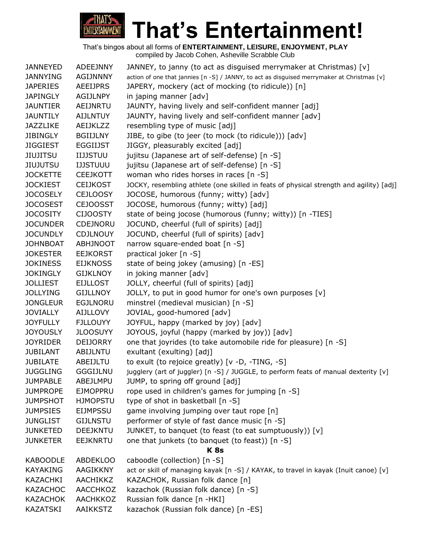

| <b>JANNEYED</b> | <b>ADEEJNNY</b> | JANNEY, to janny (to act as disguised merrymaker at Christmas) [v]                         |
|-----------------|-----------------|--------------------------------------------------------------------------------------------|
| <b>JANNYING</b> | <b>AGIJNNNY</b> | action of one that jannies [n -S] / JANNY, to act as disguised merrymaker at Christmas [v] |
| <b>JAPERIES</b> | <b>AEEIJPRS</b> | JAPERY, mockery (act of mocking (to ridicule)) [n]                                         |
| <b>JAPINGLY</b> | <b>AGIJLNPY</b> | in japing manner [adv]                                                                     |
| <b>JAUNTIER</b> | AEIJNRTU        | JAUNTY, having lively and self-confident manner [adj]                                      |
| <b>JAUNTILY</b> | <b>AIJLNTUY</b> | JAUNTY, having lively and self-confident manner [adv]                                      |
| <b>JAZZLIKE</b> | AEIJKLZZ        | resembling type of music [adj]                                                             |
| <b>JIBINGLY</b> | <b>BGIIJLNY</b> | JIBE, to gibe (to jeer (to mock (to ridicule))) [adv]                                      |
| <b>JIGGIEST</b> | <b>EGGIIJST</b> | JIGGY, pleasurably excited [adj]                                                           |
| <b>JIUJITSU</b> | <b>IIJJSTUU</b> | jujitsu (Japanese art of self-defense) [n -S]                                              |
| <b>JIUJUTSU</b> | <b>IJJSTUUU</b> | jujitsu (Japanese art of self-defense) [n -S]                                              |
| <b>JOCKETTE</b> | <b>CEEJKOTT</b> | woman who rides horses in races [n -S]                                                     |
| <b>JOCKIEST</b> | <b>CEIJKOST</b> | JOCKY, resembling athlete (one skilled in feats of physical strength and agility) [adj]    |
| <b>JOCOSELY</b> | <b>CEJLOOSY</b> | JOCOSE, humorous (funny; witty) [adv]                                                      |
| <b>JOCOSEST</b> | <b>CEJOOSST</b> | JOCOSE, humorous (funny; witty) [adj]                                                      |
| <b>JOCOSITY</b> | <b>CIJOOSTY</b> | state of being jocose (humorous (funny; witty)) [n -TIES]                                  |
| <b>JOCUNDER</b> | CDEJNORU        | JOCUND, cheerful (full of spirits) [adj]                                                   |
| <b>JOCUNDLY</b> | <b>CDJLNOUY</b> | JOCUND, cheerful (full of spirits) [adv]                                                   |
| <b>JOHNBOAT</b> | <b>ABHJNOOT</b> | narrow square-ended boat [n -S]                                                            |
| <b>JOKESTER</b> | <b>EEJKORST</b> | practical joker [n -S]                                                                     |
| <b>JOKINESS</b> | <b>EIJKNOSS</b> | state of being jokey (amusing) [n -ES]                                                     |
| <b>JOKINGLY</b> | <b>GIJKLNOY</b> | in joking manner [adv]                                                                     |
| <b>JOLLIEST</b> | <b>EIJLLOST</b> | JOLLY, cheerful (full of spirits) [adj]                                                    |
| <b>JOLLYING</b> | <b>GIJLLNOY</b> | JOLLY, to put in good humor for one's own purposes [v]                                     |
| <b>JONGLEUR</b> | <b>EGJLNORU</b> | minstrel (medieval musician) [n -S]                                                        |
| <b>JOVIALLY</b> | <b>AIJLLOVY</b> | JOVIAL, good-humored [adv]                                                                 |
| <b>JOYFULLY</b> | <b>FJLLOUYY</b> | JOYFUL, happy (marked by joy) [adv]                                                        |
| <b>JOYOUSLY</b> | <b>JLOOSUYY</b> | JOYOUS, joyful (happy (marked by joy)) [adv]                                               |
| <b>JOYRIDER</b> | <b>DEIJORRY</b> | one that joyrides (to take automobile ride for pleasure) [n -S]                            |
| <b>JUBILANT</b> | <b>ABIJLNTU</b> | exultant (exulting) [adj]                                                                  |
| <b>JUBILATE</b> | ABEIJLTU        | to exult (to rejoice greatly) [v -D, -TING, -S]                                            |
| <b>JUGGLING</b> | <b>GGGIJLNU</b> | jugglery (art of juggler) [n -S] / JUGGLE, to perform feats of manual dexterity [v]        |
| <b>JUMPABLE</b> | ABEJLMPU        | JUMP, to spring off ground [adj]                                                           |
| <b>JUMPROPE</b> | <b>EJMOPPRU</b> | rope used in children's games for jumping [n -S]                                           |
| <b>JUMPSHOT</b> | <b>HJMOPSTU</b> | type of shot in basketball [n -S]                                                          |
| <b>JUMPSIES</b> | <b>EIJMPSSU</b> | game involving jumping over taut rope [n]                                                  |
| <b>JUNGLIST</b> | <b>GIJLNSTU</b> | performer of style of fast dance music [n -S]                                              |
| <b>JUNKETED</b> | <b>DEEJKNTU</b> | JUNKET, to banquet (to feast (to eat sumptuously)) [v]                                     |
| <b>JUNKETER</b> | <b>EEJKNRTU</b> | one that junkets (to banquet (to feast)) [n -S]                                            |
|                 |                 | <b>K8s</b>                                                                                 |
| <b>KABOODLE</b> | <b>ABDEKLOO</b> | caboodle (collection) [n -S]                                                               |
| <b>KAYAKING</b> | AAGIKKNY        | act or skill of managing kayak [n -S] / KAYAK, to travel in kayak (Inuit canoe) [v]        |
| KAZACHKI        | AACHIKKZ        | KAZACHOK, Russian folk dance [n]                                                           |
| KAZACHOC        | AACCHKOZ        | kazachok (Russian folk dance) [n -S]                                                       |
| KAZACHOK        | AACHKKOZ        | Russian folk dance [n -HKI]                                                                |
| KAZATSKI        | AAIKKSTZ        | kazachok (Russian folk dance) [n -ES]                                                      |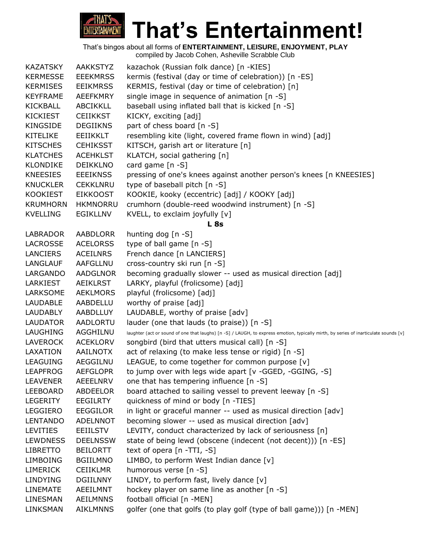

| <b>KAZATSKY</b> | <b>AAKKSTYZ</b> | kazachok (Russian folk dance) [n -KIES]                                                                                              |
|-----------------|-----------------|--------------------------------------------------------------------------------------------------------------------------------------|
| <b>KERMESSE</b> | <b>EEEKMRSS</b> | kermis (festival (day or time of celebration)) [n -ES]                                                                               |
| <b>KERMISES</b> | <b>EEIKMRSS</b> | KERMIS, festival (day or time of celebration) [n]                                                                                    |
| <b>KEYFRAME</b> | <b>AEEFKMRY</b> | single image in sequence of animation [n -S]                                                                                         |
| KICKBALL        | <b>ABCIKKLL</b> | baseball using inflated ball that is kicked [n -S]                                                                                   |
| <b>KICKIEST</b> | <b>CEIIKKST</b> | KICKY, exciting [adj]                                                                                                                |
| <b>KINGSIDE</b> | <b>DEGIIKNS</b> | part of chess board [n -S]                                                                                                           |
| <b>KITELIKE</b> | EEIIKKLT        | resembling kite (light, covered frame flown in wind) [adj]                                                                           |
| <b>KITSCHES</b> | <b>CEHIKSST</b> | KITSCH, garish art or literature [n]                                                                                                 |
| <b>KLATCHES</b> | <b>ACEHKLST</b> | KLATCH, social gathering [n]                                                                                                         |
| <b>KLONDIKE</b> | <b>DEIKKLNO</b> | card game $[n -S]$                                                                                                                   |
| <b>KNEESIES</b> | <b>EEEIKNSS</b> | pressing of one's knees against another person's knees [n KNEESIES]                                                                  |
| <b>KNUCKLER</b> | <b>CEKKLNRU</b> | type of baseball pitch [n -S]                                                                                                        |
| <b>KOOKIEST</b> | <b>EIKKOOST</b> | KOOKIE, kooky (eccentric) [adj] / KOOKY [adj]                                                                                        |
| <b>KRUMHORN</b> | <b>HKMNORRU</b> | crumhorn (double-reed woodwind instrument) [n -S]                                                                                    |
| <b>KVELLING</b> | <b>EGIKLLNV</b> | KVELL, to exclaim joyfully [v]                                                                                                       |
|                 |                 | L <sub>8s</sub>                                                                                                                      |
| LABRADOR        | <b>AABDLORR</b> | hunting dog [n -S]                                                                                                                   |
| LACROSSE        | <b>ACELORSS</b> | type of ball game [n -S]                                                                                                             |
| <b>LANCIERS</b> | <b>ACEILNRS</b> | French dance [n LANCIERS]                                                                                                            |
| <b>LANGLAUF</b> | AAFGLLNU        | cross-country ski run [n -S]                                                                                                         |
| LARGANDO        | <b>AADGLNOR</b> | becoming gradually slower -- used as musical direction [adj]                                                                         |
| LARKIEST        | <b>AEIKLRST</b> | LARKY, playful (frolicsome) [adj]                                                                                                    |
| LARKSOME        | <b>AEKLMORS</b> | playful (frolicsome) [adj]                                                                                                           |
| LAUDABLE        | AABDELLU        | worthy of praise [adj]                                                                                                               |
| LAUDABLY        | AABDLLUY        | LAUDABLE, worthy of praise [adv]                                                                                                     |
| LAUDATOR        | AADLORTU        | lauder (one that lauds (to praise)) [n -S]                                                                                           |
| <b>LAUGHING</b> | AGGHILNU        | laughter (act or sound of one that laughs) [n -S] / LAUGH, to express emotion, typically mirth, by series of inarticulate sounds [v] |
| <b>LAVEROCK</b> | <b>ACEKLORV</b> | songbird (bird that utters musical call) [n -S]                                                                                      |
| LAXATION        | <b>AAILNOTX</b> | act of relaxing (to make less tense or rigid) [n -S]                                                                                 |
| <b>LEAGUING</b> | AEGGILNU        | LEAGUE, to come together for common purpose [v]                                                                                      |
| <b>LEAPFROG</b> | <b>AEFGLOPR</b> | to jump over with legs wide apart [v -GGED, -GGING, -S]                                                                              |
| <b>LEAVENER</b> | AEEELNRV        | one that has tempering influence [n -S]                                                                                              |
| <b>LEEBOARD</b> | ABDEELOR        | board attached to sailing vessel to prevent leeway [n -S]                                                                            |
| LEGERITY        | EEGILRTY        | quickness of mind or body [n -TIES]                                                                                                  |
| <b>LEGGIERO</b> | <b>EEGGILOR</b> | in light or graceful manner -- used as musical direction [adv]                                                                       |
| <b>LENTANDO</b> | <b>ADELNNOT</b> | becoming slower -- used as musical direction [adv]                                                                                   |
| <b>LEVITIES</b> | <b>EEIILSTV</b> | LEVITY, conduct characterized by lack of seriousness [n]                                                                             |
| <b>LEWDNESS</b> | <b>DEELNSSW</b> | state of being lewd (obscene (indecent (not decent))) [n -ES]                                                                        |
| <b>LIBRETTO</b> | <b>BEILORTT</b> | text of opera $[n -TTI, -S]$                                                                                                         |
| <b>LIMBOING</b> | <b>BGIILMNO</b> | LIMBO, to perform West Indian dance [v]                                                                                              |
| <b>LIMERICK</b> | <b>CEIIKLMR</b> | humorous verse [n -S]                                                                                                                |
| LINDYING        | <b>DGIILNNY</b> | LINDY, to perform fast, lively dance [v]                                                                                             |
| <b>LINEMATE</b> | AEEILMNT        | hockey player on same line as another [n -S]                                                                                         |
| LINESMAN        | <b>AEILMNNS</b> | football official [n -MEN]                                                                                                           |
| LINKSMAN        | <b>AIKLMNNS</b> | golfer (one that golfs (to play golf (type of ball game))) [n -MEN]                                                                  |
|                 |                 |                                                                                                                                      |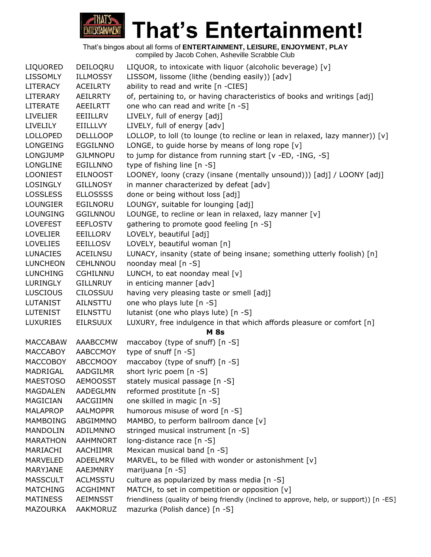

| <b>LIQUORED</b> | DEILOQRU        | LIQUOR, to intoxicate with liquor (alcoholic beverage) [v]                               |
|-----------------|-----------------|------------------------------------------------------------------------------------------|
| <b>LISSOMLY</b> | <b>ILLMOSSY</b> | LISSOM, lissome (lithe (bending easily)) [adv]                                           |
| <b>LITERACY</b> | <b>ACEILRTY</b> | ability to read and write [n -CIES]                                                      |
| LITERARY        | <b>AEILRRTY</b> | of, pertaining to, or having characteristics of books and writings [adj]                 |
| <b>LITERATE</b> | AEEILRTT        | one who can read and write [n -S]                                                        |
| <b>LIVELIER</b> | EEIILLRV        | LIVELY, full of energy [adj]                                                             |
| LIVELILY        | <b>EIILLLVY</b> | LIVELY, full of energy [adv]                                                             |
| <b>LOLLOPED</b> | <b>DELLLOOP</b> | LOLLOP, to loll (to lounge (to recline or lean in relaxed, lazy manner)) [v]             |
| <b>LONGEING</b> | <b>EGGILNNO</b> | LONGE, to guide horse by means of long rope [v]                                          |
| LONGJUMP        | <b>GJLMNOPU</b> | to jump for distance from running start $[v - ED, -ING, -S]$                             |
| <b>LONGLINE</b> | <b>EGILLNNO</b> | type of fishing line [n -S]                                                              |
| <b>LOONIEST</b> | <b>EILNOOST</b> | LOONEY, loony (crazy (insane (mentally unsound))) [adj] / LOONY [adj]                    |
| <b>LOSINGLY</b> | <b>GILLNOSY</b> | in manner characterized by defeat [adv]                                                  |
| <b>LOSSLESS</b> | <b>ELLOSSSS</b> | done or being without loss [adj]                                                         |
| <b>LOUNGIER</b> | EGILNORU        | LOUNGY, suitable for lounging [adj]                                                      |
| LOUNGING        | GGILNNOU        | LOUNGE, to recline or lean in relaxed, lazy manner [v]                                   |
| <b>LOVEFEST</b> | <b>EEFLOSTV</b> | gathering to promote good feeling [n -S]                                                 |
| <b>LOVELIER</b> | <b>EEILLORV</b> | LOVELY, beautiful [adj]                                                                  |
| <b>LOVELIES</b> | <b>EEILLOSV</b> | LOVELY, beautiful woman [n]                                                              |
| <b>LUNACIES</b> | <b>ACEILNSU</b> | LUNACY, insanity (state of being insane; something utterly foolish) [n]                  |
| <b>LUNCHEON</b> | <b>CEHLNNOU</b> | noonday meal [n -S]                                                                      |
| <b>LUNCHING</b> | <b>CGHILNNU</b> | LUNCH, to eat noonday meal [v]                                                           |
| LURINGLY        | <b>GILLNRUY</b> | in enticing manner [adv]                                                                 |
| <b>LUSCIOUS</b> | <b>CILOSSUU</b> | having very pleasing taste or smell [adj]                                                |
| <b>LUTANIST</b> | AILNSTTU        | one who plays lute [n -S]                                                                |
| <b>LUTENIST</b> | <b>EILNSTTU</b> | lutanist (one who plays lute) [n -S]                                                     |
| <b>LUXURIES</b> | <b>EILRSUUX</b> | LUXURY, free indulgence in that which affords pleasure or comfort [n]                    |
|                 |                 | <b>M</b> 8s                                                                              |
| <b>MACCABAW</b> | <b>AAABCCMW</b> | maccaboy (type of snuff) [n -S]                                                          |
| MACCABOY        | AABCCMOY        | type of snuff [n -S]                                                                     |
| <b>MACCOBOY</b> | <b>ABCCMOOY</b> | maccaboy (type of snuff) [n -S]                                                          |
| MADRIGAL        | AADGILMR        | short lyric poem [n -S]                                                                  |
| <b>MAESTOSO</b> | <b>AEMOOSST</b> | stately musical passage [n -S]                                                           |
| <b>MAGDALEN</b> | AADEGLMN        | reformed prostitute [n -S]                                                               |
| MAGICIAN        | AACGIIMN        | one skilled in magic [n -S]                                                              |
| <b>MALAPROP</b> | <b>AALMOPPR</b> | humorous misuse of word [n -S]                                                           |
| MAMBOING        | ABGIMMNO        | MAMBO, to perform ballroom dance [v]                                                     |
| <b>MANDOLIN</b> | ADILMNNO        | stringed musical instrument [n -S]                                                       |
| <b>MARATHON</b> | <b>AAHMNORT</b> | long-distance race [n -S]                                                                |
| MARIACHI        | AACHIIMR        | Mexican musical band [n -S]                                                              |
| <b>MARVELED</b> | ADEELMRV        | MARVEL, to be filled with wonder or astonishment [v]                                     |
| MARYJANE        | AAEJMNRY        | marijuana [n -S]                                                                         |
| <b>MASSCULT</b> | <b>ACLMSSTU</b> | culture as popularized by mass media [n -S]                                              |
| <b>MATCHING</b> | <b>ACGHIMNT</b> | MATCH, to set in competition or opposition [v]                                           |
| <b>MATINESS</b> | AEIMNSST        | friendliness (quality of being friendly (inclined to approve, help, or support)) [n -ES] |
| <b>MAZOURKA</b> | AAKMORUZ        | mazurka (Polish dance) [n -S]                                                            |
|                 |                 |                                                                                          |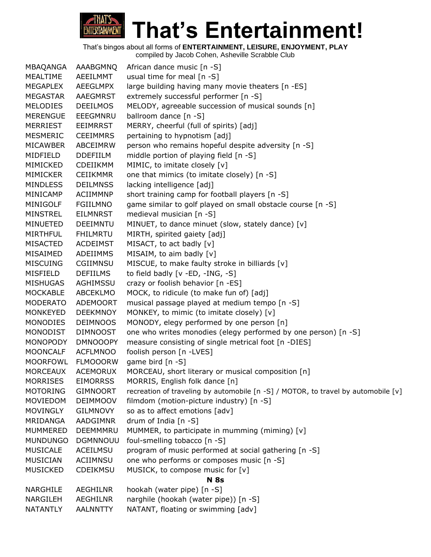

| MBAQANGA        | AAABGMNQ        | African dance music [n -S]                                                        |
|-----------------|-----------------|-----------------------------------------------------------------------------------|
| <b>MEALTIME</b> | AEEILMMT        | usual time for meal [n -S]                                                        |
| MEGAPLEX        | AEEGLMPX        | large building having many movie theaters [n -ES]                                 |
| <b>MEGASTAR</b> | <b>AAEGMRST</b> | extremely successful performer [n -S]                                             |
| <b>MELODIES</b> | <b>DEEILMOS</b> | MELODY, agreeable succession of musical sounds [n]                                |
| <b>MERENGUE</b> | EEEGMNRU        | ballroom dance [n -S]                                                             |
| <b>MERRIEST</b> | <b>EEIMRRST</b> | MERRY, cheerful (full of spirits) [adj]                                           |
| <b>MESMERIC</b> | <b>CEEIMMRS</b> | pertaining to hypnotism [adj]                                                     |
| <b>MICAWBER</b> | ABCEIMRW        | person who remains hopeful despite adversity [n -S]                               |
| MIDFIELD        | <b>DDEFIILM</b> | middle portion of playing field [n -S]                                            |
| MIMICKED        | CDEIIKMM        | MIMIC, to imitate closely [v]                                                     |
| MIMICKER        | <b>CEIIKMMR</b> | one that mimics (to imitate closely) [n -S]                                       |
| <b>MINDLESS</b> | <b>DEILMNSS</b> | lacking intelligence [adj]                                                        |
| MINICAMP        | <b>ACIIMMNP</b> | short training camp for football players [n -S]                                   |
| MINIGOLF        | <b>FGIILMNO</b> | game similar to golf played on small obstacle course [n -S]                       |
| <b>MINSTREL</b> | <b>EILMNRST</b> | medieval musician [n -S]                                                          |
| MINUETED        | DEEIMNTU        | MINUET, to dance minuet (slow, stately dance) [v]                                 |
| <b>MIRTHFUL</b> | <b>FHILMRTU</b> | MIRTH, spirited gaiety [adj]                                                      |
| <b>MISACTED</b> | <b>ACDEIMST</b> | MISACT, to act badly [v]                                                          |
| MISAIMED        | <b>ADEIIMMS</b> | MISAIM, to aim badly [v]                                                          |
| <b>MISCUING</b> | CGIIMNSU        | MISCUE, to make faulty stroke in billiards [v]                                    |
| MISFIELD        | <b>DEFIILMS</b> | to field badly [v -ED, -ING, -S]                                                  |
| <b>MISHUGAS</b> | AGHIMSSU        | crazy or foolish behavior [n -ES]                                                 |
| <b>MOCKABLE</b> | <b>ABCEKLMO</b> | MOCK, to ridicule (to make fun of) [adj]                                          |
| <b>MODERATO</b> | <b>ADEMOORT</b> | musical passage played at medium tempo [n -S]                                     |
| <b>MONKEYED</b> | <b>DEEKMNOY</b> | MONKEY, to mimic (to imitate closely) [v]                                         |
| MONODIES        | <b>DEIMNOOS</b> | MONODY, elegy performed by one person [n]                                         |
| MONODIST        | <b>DIMNOOST</b> | one who writes monodies (elegy performed by one person) [n -S]                    |
| <b>MONOPODY</b> | <b>DMNOOOPY</b> | measure consisting of single metrical foot [n -DIES]                              |
| <b>MOONCALF</b> | <b>ACFLMNOO</b> | foolish person [n -LVES]                                                          |
| <b>MOORFOWL</b> | <b>FLMOOORW</b> | game bird [n -S]                                                                  |
| <b>MORCEAUX</b> | <b>ACEMORUX</b> | MORCEAU, short literary or musical composition [n]                                |
| <b>MORRISES</b> | <b>EIMORRSS</b> | MORRIS, English folk dance [n]                                                    |
| <b>MOTORING</b> | <b>GIMNOORT</b> | recreation of traveling by automobile [n -S] / MOTOR, to travel by automobile [v] |
| MOVIEDOM        | <b>DEIMMOOV</b> | filmdom (motion-picture industry) [n -S]                                          |
| <b>MOVINGLY</b> | <b>GILMNOVY</b> | so as to affect emotions [adv]                                                    |
| MRIDANGA        | AADGIMNR        | drum of India [n -S]                                                              |
| <b>MUMMERED</b> | DEEMMMRU        | MUMMER, to participate in mumming (miming) [v]                                    |
| <b>MUNDUNGO</b> | <b>DGMNNOUU</b> | foul-smelling tobacco [n -S]                                                      |
| <b>MUSICALE</b> | ACEILMSU        | program of music performed at social gathering [n -S]                             |
| <b>MUSICIAN</b> | ACIIMNSU        | one who performs or composes music [n -S]                                         |
| <b>MUSICKED</b> | <b>CDEIKMSU</b> | MUSICK, to compose music for [v]                                                  |
|                 |                 | <b>N</b> 8s                                                                       |
| <b>NARGHILE</b> | <b>AEGHILNR</b> | hookah (water pipe) [n -S]                                                        |
| NARGILEH        | <b>AEGHILNR</b> | narghile (hookah (water pipe)) [n -S]                                             |
| <b>NATANTLY</b> | <b>AALNNTTY</b> | NATANT, floating or swimming [adv]                                                |
|                 |                 |                                                                                   |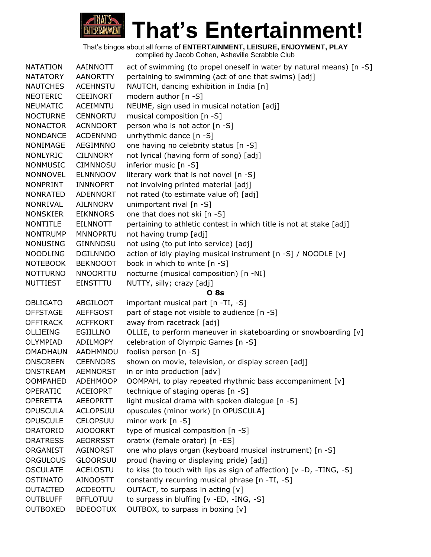

| <b>NATATION</b> | AAINNOTT        | act of swimming (to propel oneself in water by natural means) [n -S] |
|-----------------|-----------------|----------------------------------------------------------------------|
| <b>NATATORY</b> | <b>AANORTTY</b> | pertaining to swimming (act of one that swims) [adj]                 |
| <b>NAUTCHES</b> | <b>ACEHNSTU</b> | NAUTCH, dancing exhibition in India [n]                              |
| <b>NEOTERIC</b> | <b>CEEINORT</b> | modern author [n -S]                                                 |
| <b>NEUMATIC</b> | <b>ACEIMNTU</b> | NEUME, sign used in musical notation [adj]                           |
| <b>NOCTURNE</b> | <b>CENNORTU</b> | musical composition [n -S]                                           |
| <b>NONACTOR</b> | <b>ACNNOORT</b> | person who is not actor [n -S]                                       |
| <b>NONDANCE</b> | <b>ACDENNNO</b> | unrhythmic dance [n -S]                                              |
| NONIMAGE        | <b>AEGIMNNO</b> | one having no celebrity status [n -S]                                |
| <b>NONLYRIC</b> | <b>CILNNORY</b> | not lyrical (having form of song) [adj]                              |
| <b>NONMUSIC</b> | <b>CIMNNOSU</b> | inferior music [n -S]                                                |
| <b>NONNOVEL</b> | <b>ELNNNOOV</b> | literary work that is not novel [n -S]                               |
| <b>NONPRINT</b> | <b>INNNOPRT</b> | not involving printed material [adj]                                 |
| <b>NONRATED</b> | <b>ADENNORT</b> | not rated (to estimate value of) [adj]                               |
| NONRIVAL        | AILNNORV        | unimportant rival [n -S]                                             |
| <b>NONSKIER</b> | <b>EIKNNORS</b> | one that does not ski [n -S]                                         |
| <b>NONTITLE</b> | <b>EILNNOTT</b> | pertaining to athletic contest in which title is not at stake [adj]  |
| <b>NONTRUMP</b> | <b>MNNOPRTU</b> | not having trump [adj]                                               |
| <b>NONUSING</b> | <b>GINNNOSU</b> | not using (to put into service) [adj]                                |
| <b>NOODLING</b> | <b>DGILNNOO</b> | action of idly playing musical instrument [n -S] / NOODLE [v]        |
| <b>NOTEBOOK</b> | <b>BEKNOOOT</b> | book in which to write [n -S]                                        |
| <b>NOTTURNO</b> | <b>NNOORTTU</b> | nocturne (musical composition) [n -NI]                               |
| NUTTIEST        | EINSTTTU        | NUTTY, silly; crazy [adj]                                            |
|                 |                 | <b>O</b> 8s                                                          |
| <b>OBLIGATO</b> | ABGILOOT        | important musical part [n -TI, -S]                                   |
| <b>OFFSTAGE</b> | <b>AEFFGOST</b> | part of stage not visible to audience [n -S]                         |
| <b>OFFTRACK</b> | <b>ACFFKORT</b> | away from racetrack [adj]                                            |
| <b>OLLIEING</b> | EGIILLNO        | OLLIE, to perform maneuver in skateboarding or snowboarding [v]      |
| OLYMPIAD        | ADILMOPY        | celebration of Olympic Games [n -S]                                  |
| <b>OMADHAUN</b> | AADHMNOU        | foolish person [n -S]                                                |
| <b>ONSCREEN</b> | <b>CEENNORS</b> | shown on movie, television, or display screen [adj]                  |
| <b>ONSTREAM</b> | <b>AEMNORST</b> | in or into production [adv]                                          |
| <b>OOMPAHED</b> | <b>ADEHMOOP</b> | OOMPAH, to play repeated rhythmic bass accompaniment [v]             |
| <b>OPERATIC</b> | <b>ACEIOPRT</b> | technique of staging operas [n -S]                                   |
| <b>OPERETTA</b> | <b>AEEOPRTT</b> | light musical drama with spoken dialogue [n -S]                      |
| <b>OPUSCULA</b> | <b>ACLOPSUU</b> | opuscules (minor work) [n OPUSCULA]                                  |
| <b>OPUSCULE</b> | <b>CELOPSUU</b> | minor work [n -S]                                                    |
| <b>ORATORIO</b> | <b>AIOOORRT</b> | type of musical composition [n -S]                                   |
| <b>ORATRESS</b> | <b>AEORRSST</b> | oratrix (female orator) [n -ES]                                      |
| ORGANIST        | <b>AGINORST</b> | one who plays organ (keyboard musical instrument) [n -S]             |
| <b>ORGULOUS</b> | <b>GLOORSUU</b> | proud (having or displaying pride) [adj]                             |
| <b>OSCULATE</b> | <b>ACELOSTU</b> | to kiss (to touch with lips as sign of affection) [v -D, -TING, -S]  |
| <b>OSTINATO</b> | <b>AINOOSTT</b> | constantly recurring musical phrase [n -TI, -S]                      |
| <b>OUTACTED</b> | ACDEOTTU        | OUTACT, to surpass in acting [v]                                     |
| <b>OUTBLUFF</b> | <b>BFFLOTUU</b> | to surpass in bluffing [v -ED, -ING, -S]                             |
| <b>OUTBOXED</b> | <b>BDEOOTUX</b> | OUTBOX, to surpass in boxing [v]                                     |
|                 |                 |                                                                      |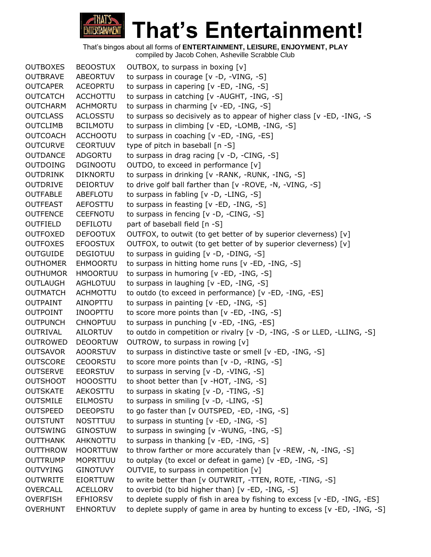

OUTBOXES BEOOSTUX OUTBOX, to surpass in boxing [v] OUTBRAVE ABEORTUV to surpass in courage [v -D, -VING, -S] OUTCAPER ACEOPRTU to surpass in capering [v -ED, -ING, -S] OUTCATCH ACCHOTTU to surpass in catching [v -AUGHT, -ING, -S] OUTCHARM ACHMORTU to surpass in charming [v -ED, -ING, -S] OUTCLASS ACLOSSTU to surpass so decisively as to appear of higher class [v -ED, -ING, -S OUTCLIMB BCILMOTU to surpass in climbing [v -ED, -LOMB, -ING, -S] OUTCOACH ACCHOOTU to surpass in coaching [v -ED, -ING, -ES] OUTCURVE CEORTUUV type of pitch in baseball [n -S] OUTDANCE ADGORTU to surpass in drag racing [v -D, -CING, -S] OUTDOING DGINOOTU OUTDO, to exceed in performance [v] OUTDRINK DIKNORTU to surpass in drinking [v -RANK, -RUNK, -ING, -S] OUTDRIVE DEIORTUV to drive golf ball farther than [v -ROVE, -N, -VING, -S] OUTFABLE ABEFLOTU to surpass in fabling [v -D, -LING, -S] OUTFEAST AEFOSTTU to surpass in feasting [v -ED, -ING, -S] OUTFENCE CEEFNOTU to surpass in fencing [v -D, -CING, -S] OUTFIELD DEFILOTU part of baseball field [n -S] OUTFOXED DEFOOTUX OUTFOX, to outwit (to get better of by superior cleverness)  $[v]$ OUTFOXES EFOOSTUX OUTFOX, to outwit (to get better of by superior cleverness) [v] OUTGUIDE DEGIOTUU to surpass in guiding [v -D, -DING, -S] OUTHOMER EHMOORTU to surpass in hitting home runs [v -ED, -ING, -S] OUTHUMOR HMOORTUU to surpass in humoring [v -ED, -ING, -S] OUTLAUGH AGHLOTUU to surpass in laughing [v -ED, -ING, -S] OUTMATCH ACHMOTTU to outdo (to exceed in performance) [v -ED, -ING, -ES] OUTPAINT AINOPTTU to surpass in painting [v -ED, -ING, -S] OUTPOINT INOOPTTU to score more points than [v -ED, -ING, -S] OUTPUNCH CHNOPTUU to surpass in punching [v -ED, -ING, -ES] OUTRIVAL AILORTUV to outdo in competition or rivalry [v -D, -ING, -S or LLED, -LLING, -S] OUTROWED DEOORTUW OUTROW, to surpass in rowing [v] OUTSAVOR AOORSTUV to surpass in distinctive taste or smell [v -ED, -ING, -S] OUTSCORE CEOORSTU to score more points than [v -D, -RING, -S] OUTSERVE EEORSTUV to surpass in serving [v -D, -VING, -S] OUTSHOOT HOOOSTTU to shoot better than [v -HOT, -ING, -S] OUTSKATE AEKOSTTU to surpass in skating [v -D, -TING, -S] OUTSMILE EILMOSTU to surpass in smiling [v -D, -LING, -S] OUTSPEED DEEOPSTU to go faster than [v OUTSPED, -ED, -ING, -S] OUTSTUNT NOSTTTUU to surpass in stunting [v -ED, -ING, -S] OUTSWING GINOSTUW to surpass in swinging [v -WUNG, -ING, -S] OUTTHANK AHKNOTTU to surpass in thanking [v -ED, -ING, -S] OUTTHROW HOORTTUW to throw farther or more accurately than [v -REW, -N, -ING, -S] OUTTRUMP MOPRTTUU to outplay (to excel or defeat in game) [v -ED, -ING, -S] OUTVYING GINOTUVY OUTVIE, to surpass in competition [v] OUTWRITE EIORTTUW to write better than [v OUTWRIT, -TTEN, ROTE, -TING, -S] OVERCALL ACELLORV to overbid (to bid higher than) [v -ED, -ING, -S] OVERFISH EFHIORSV to deplete supply of fish in area by fishing to excess [v -ED, -ING, -ES] OVERHUNT EHNORTUV to deplete supply of game in area by hunting to excess [v -ED, -ING, -S]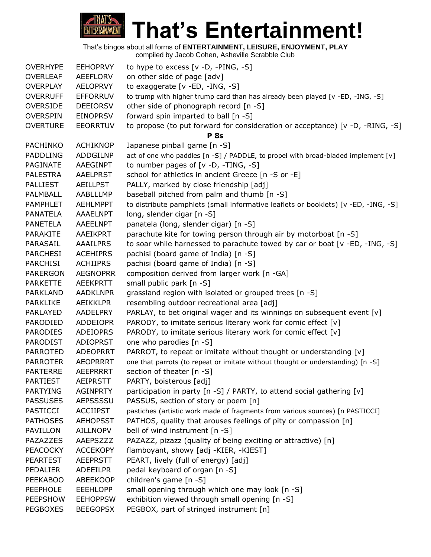

| <b>OVERHYPE</b> | <b>EEHOPRVY</b> | to hype to excess $[v -D, -PING, -S]$                                              |
|-----------------|-----------------|------------------------------------------------------------------------------------|
| <b>OVERLEAF</b> | AEEFLORV        | on other side of page [adv]                                                        |
| <b>OVERPLAY</b> | <b>AELOPRVY</b> | to exaggerate [v -ED, -ING, -S]                                                    |
| <b>OVERRUFF</b> | <b>EFFORRUV</b> | to trump with higher trump card than has already been played [v -ED, -ING, -S]     |
| <b>OVERSIDE</b> | <b>DEEIORSV</b> | other side of phonograph record [n -S]                                             |
| <b>OVERSPIN</b> | <b>EINOPRSV</b> | forward spin imparted to ball [n -S]                                               |
| <b>OVERTURE</b> | <b>EEORRTUV</b> | to propose (to put forward for consideration or acceptance) [v -D, -RING, -S]      |
|                 |                 | <b>P</b> 8s                                                                        |
| <b>PACHINKO</b> | <b>ACHIKNOP</b> | Japanese pinball game [n -S]                                                       |
| <b>PADDLING</b> | <b>ADDGILNP</b> | act of one who paddles [n -S] / PADDLE, to propel with broad-bladed implement [v]  |
| <b>PAGINATE</b> | AAEGINPT        | to number pages of $[v -D, -TING, -S]$                                             |
| <b>PALESTRA</b> | <b>AAELPRST</b> | school for athletics in ancient Greece [n -S or -E]                                |
| <b>PALLIEST</b> | <b>AEILLPST</b> | PALLY, marked by close friendship [adj]                                            |
| PALMBALL        | AABLLLMP        | baseball pitched from palm and thumb [n -S]                                        |
| <b>PAMPHLET</b> | <b>AEHLMPPT</b> | to distribute pamphlets (small informative leaflets or booklets) [v -ED, -ING, -S] |
| PANATELA        | <b>AAAELNPT</b> | long, slender cigar [n -S]                                                         |
| <b>PANETELA</b> | <b>AAEELNPT</b> | panatela (long, slender cigar) [n -S]                                              |
| PARAKITE        | AAEIKPRT        | parachute kite for towing person through air by motorboat [n -S]                   |
| PARASAIL        | <b>AAAILPRS</b> | to soar while harnessed to parachute towed by car or boat [v -ED, -ING, -S]        |
| <b>PARCHESI</b> | <b>ACEHIPRS</b> | pachisi (board game of India) [n -S]                                               |
| <b>PARCHISI</b> | <b>ACHIIPRS</b> | pachisi (board game of India) [n -S]                                               |
| <b>PARERGON</b> | <b>AEGNOPRR</b> | composition derived from larger work [n -GA]                                       |
| <b>PARKETTE</b> | <b>AEEKPRTT</b> | small public park [n -S]                                                           |
| <b>PARKLAND</b> | <b>AADKLNPR</b> | grassland region with isolated or grouped trees [n -S]                             |
| <b>PARKLIKE</b> | <b>AEIKKLPR</b> | resembling outdoor recreational area [adj]                                         |
| PARLAYED        | AADELPRY        | PARLAY, to bet original wager and its winnings on subsequent event [v]             |
| PARODIED        | <b>ADDEIOPR</b> | PARODY, to imitate serious literary work for comic effect [v]                      |
| <b>PARODIES</b> | <b>ADEIOPRS</b> | PARODY, to imitate serious literary work for comic effect [v]                      |
| <b>PARODIST</b> | <b>ADIOPRST</b> | one who parodies [n -S]                                                            |
| <b>PARROTED</b> | <b>ADEOPRRT</b> | PARROT, to repeat or imitate without thought or understanding [v]                  |
| <b>PARROTER</b> | <b>AEOPRRRT</b> | one that parrots (to repeat or imitate without thought or understanding) [n -S]    |
| <b>PARTERRE</b> | <b>AEEPRRRT</b> | section of theater $[n - S]$                                                       |
| <b>PARTIEST</b> | <b>AEIPRSTT</b> | PARTY, boisterous [adj]                                                            |
| <b>PARTYING</b> | <b>AGINPRTY</b> | participation in party [n -S] / PARTY, to attend social gathering [v]              |
| <b>PASSUSES</b> | <b>AEPSSSSU</b> | PASSUS, section of story or poem [n]                                               |
| PASTICCI        | <b>ACCIIPST</b> | pastiches (artistic work made of fragments from various sources) [n PASTICCI]      |
| <b>PATHOSES</b> | <b>AEHOPSST</b> | PATHOS, quality that arouses feelings of pity or compassion [n]                    |
| <b>PAVILLON</b> | <b>AILLNOPV</b> | bell of wind instrument [n -S]                                                     |
| PAZAZZES        | AAEPSZZZ        | PAZAZZ, pizazz (quality of being exciting or attractive) [n]                       |
| <b>PEACOCKY</b> | <b>ACCEKOPY</b> | flamboyant, showy [adj -KIER, -KIEST]                                              |
| <b>PEARTEST</b> | <b>AEEPRSTT</b> | PEART, lively (full of energy) [adj]                                               |
| <b>PEDALIER</b> | <b>ADEEILPR</b> | pedal keyboard of organ [n -S]                                                     |
| <b>PEEKABOO</b> | <b>ABEEKOOP</b> | children's game [n -S]                                                             |
| <b>PEEPHOLE</b> | <b>EEEHLOPP</b> | small opening through which one may look [n -S]                                    |
| <b>PEEPSHOW</b> | <b>EEHOPPSW</b> | exhibition viewed through small opening [n -S]                                     |
| <b>PEGBOXES</b> | <b>BEEGOPSX</b> | PEGBOX, part of stringed instrument [n]                                            |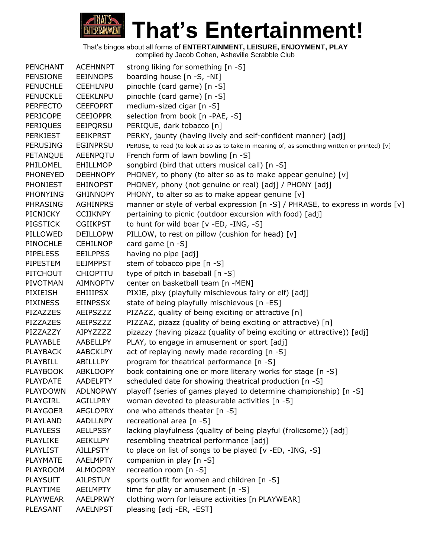

| PENSIONE<br><b>EEINNOPS</b><br>boarding house [n -S, -NI]                                                                           |  |
|-------------------------------------------------------------------------------------------------------------------------------------|--|
|                                                                                                                                     |  |
| pinochle (card game) [n -S]<br><b>PENUCHLE</b><br><b>CEEHLNPU</b>                                                                   |  |
| <b>PENUCKLE</b><br>pinochle (card game) [n -S]<br><b>CEEKLNPU</b>                                                                   |  |
| medium-sized cigar [n -S]<br><b>PERFECTO</b><br><b>CEEFOPRT</b>                                                                     |  |
| selection from book [n -PAE, -S]<br><b>PERICOPE</b><br><b>CEEIOPPR</b>                                                              |  |
| <b>PERIQUES</b><br>EEIPQRSU<br>PERIQUE, dark tobacco [n]                                                                            |  |
| <b>PERKIEST</b><br><b>EEIKPRST</b><br>PERKY, jaunty (having lively and self-confident manner) [adj]                                 |  |
| <b>PERUSING</b><br><b>EGINPRSU</b><br>PERUSE, to read (to look at so as to take in meaning of, as something written or printed) [v] |  |
| PETANQUE<br>AEENPQTU<br>French form of lawn bowling [n -S]                                                                          |  |
| PHILOMEL<br><b>EHILLMOP</b><br>songbird (bird that utters musical call) [n -S]                                                      |  |
| PHONEY, to phony (to alter so as to make appear genuine) [v]<br><b>PHONEYED</b><br><b>DEEHNOPY</b>                                  |  |
| <b>PHONIEST</b><br><b>EHINOPST</b><br>PHONEY, phony (not genuine or real) [adj] / PHONY [adj]                                       |  |
| <b>GHINNOPY</b><br>PHONY, to alter so as to make appear genuine [v]<br><b>PHONYING</b>                                              |  |
| manner or style of verbal expression [n -S] / PHRASE, to express in words [v]<br>PHRASING<br><b>AGHINPRS</b>                        |  |
| PICNICKY<br><b>CCIIKNPY</b><br>pertaining to picnic (outdoor excursion with food) [adj]                                             |  |
| <b>PIGSTICK</b><br><b>CGIIKPST</b><br>to hunt for wild boar [v -ED, -ING, -S]                                                       |  |
| PILLOW, to rest on pillow (cushion for head) [v]<br>PILLOWED<br><b>DEILLOPW</b>                                                     |  |
| card game [n -S]<br>PINOCHLE<br><b>CEHILNOP</b>                                                                                     |  |
| <b>PIPELESS</b><br><b>EEILPPSS</b><br>having no pipe [adj]                                                                          |  |
| stem of tobacco pipe [n -S]<br>PIPESTEM<br><b>EEIMPPST</b>                                                                          |  |
| PITCHOUT<br><b>CHIOPTTU</b><br>type of pitch in baseball [n -S]                                                                     |  |
| PIVOTMAN<br><b>AIMNOPTV</b><br>center on basketball team [n -MEN]                                                                   |  |
| PIXIE, pixy (playfully mischievous fairy or elf) [adj]<br>PIXIEISH<br><b>EHIIIPSX</b>                                               |  |
| <b>PIXINESS</b><br>state of being playfully mischievous [n -ES]<br><b>EIINPSSX</b>                                                  |  |
| PIZAZZES<br>AEIPSZZZ<br>PIZAZZ, quality of being exciting or attractive [n]                                                         |  |
| PIZZAZES<br>AEIPSZZZ<br>PIZZAZ, pizazz (quality of being exciting or attractive) [n]                                                |  |
| PIZZAZZY<br>AIPYZZZZ<br>pizazzy (having pizazz (quality of being exciting or attractive)) [adj]                                     |  |
| PLAYABLE<br>AABELLPY<br>PLAY, to engage in amusement or sport [adj]                                                                 |  |
| <b>AABCKLPY</b><br><b>PLAYBACK</b><br>act of replaying newly made recording [n -S]                                                  |  |
| program for theatrical performance [n -S]<br>PLAYBILL<br>ABILLLPY                                                                   |  |
| <b>ABKLOOPY</b><br>book containing one or more literary works for stage [n -S]<br><b>PLAYBOOK</b>                                   |  |
| scheduled date for showing theatrical production [n -S]<br><b>PLAYDATE</b><br><b>AADELPTY</b>                                       |  |
| playoff (series of games played to determine championship) [n -S]<br><b>PLAYDOWN</b><br><b>ADLNOPWY</b>                             |  |
| woman devoted to pleasurable activities [n -S]<br>PLAYGIRL<br><b>AGILLPRY</b>                                                       |  |
| one who attends theater [n -S]<br><b>PLAYGOER</b><br><b>AEGLOPRY</b>                                                                |  |
| PLAYLAND<br>AADLLNPY<br>recreational area [n -S]                                                                                    |  |
| <b>PLAYLESS</b><br><b>AELLPSSY</b><br>lacking playfulness (quality of being playful (frolicsome)) [adj]                             |  |
| <b>AEIKLLPY</b><br>resembling theatrical performance [adj]<br>PLAYLIKE                                                              |  |
| to place on list of songs to be played [v -ED, -ING, -S]<br><b>PLAYLIST</b><br><b>AILLPSTY</b>                                      |  |
| companion in play $[n - S]$<br><b>PLAYMATE</b><br><b>AAELMPTY</b>                                                                   |  |
| recreation room [n -S]<br><b>PLAYROOM</b><br><b>ALMOOPRY</b>                                                                        |  |
| <b>PLAYSUIT</b><br><b>AILPSTUY</b><br>sports outfit for women and children [n -S]                                                   |  |
| PLAYTIME<br>time for play or amusement [n -S]<br><b>AEILMPTY</b>                                                                    |  |
| clothing worn for leisure activities [n PLAYWEAR]<br><b>PLAYWEAR</b><br>AAELPRWY                                                    |  |
| pleasing [adj -ER, -EST]<br>PLEASANT<br><b>AAELNPST</b>                                                                             |  |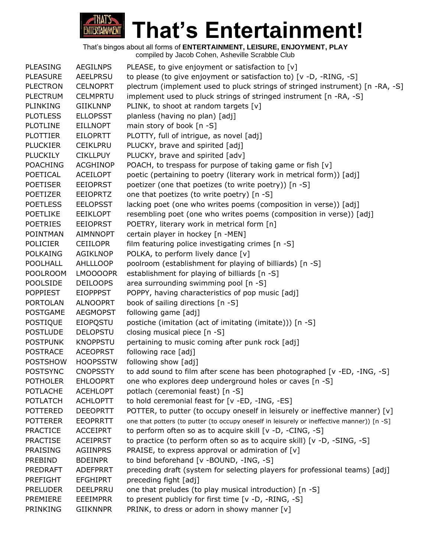

| <b>PLEASING</b> | <b>AEGILNPS</b> | PLEASE, to give enjoyment or satisfaction to $[v]$                                         |
|-----------------|-----------------|--------------------------------------------------------------------------------------------|
| <b>PLEASURE</b> | AEELPRSU        | to please (to give enjoyment or satisfaction to) [v -D, -RING, -S]                         |
| <b>PLECTRON</b> | <b>CELNOPRT</b> | plectrum (implement used to pluck strings of stringed instrument) [n -RA, -S]              |
| <b>PLECTRUM</b> | <b>CELMPRTU</b> | implement used to pluck strings of stringed instrument [n -RA, -S]                         |
| PLINKING        | <b>GIIKLNNP</b> | PLINK, to shoot at random targets [v]                                                      |
| <b>PLOTLESS</b> | <b>ELLOPSST</b> | planless (having no plan) [adj]                                                            |
| <b>PLOTLINE</b> | <b>EILLNOPT</b> | main story of book [n -S]                                                                  |
| <b>PLOTTIER</b> | <b>EILOPRTT</b> | PLOTTY, full of intrigue, as novel [adj]                                                   |
| <b>PLUCKIER</b> | <b>CEIKLPRU</b> | PLUCKY, brave and spirited [adj]                                                           |
| <b>PLUCKILY</b> | <b>CIKLLPUY</b> | PLUCKY, brave and spirited [adv]                                                           |
| <b>POACHING</b> | <b>ACGHINOP</b> | POACH, to trespass for purpose of taking game or fish [v]                                  |
| <b>POETICAL</b> | <b>ACEILOPT</b> | poetic (pertaining to poetry (literary work in metrical form)) [adj]                       |
| <b>POETISER</b> | <b>EEIOPRST</b> | poetizer (one that poetizes (to write poetry)) [n -S]                                      |
| <b>POETIZER</b> | <b>EEIOPRTZ</b> | one that poetizes (to write poetry) [n -S]                                                 |
| <b>POETLESS</b> | <b>EELOPSST</b> | lacking poet (one who writes poems (composition in verse)) [adj]                           |
| <b>POETLIKE</b> | <b>EEIKLOPT</b> | resembling poet (one who writes poems (composition in verse)) [adj]                        |
| <b>POETRIES</b> | <b>EEIOPRST</b> | POETRY, literary work in metrical form [n]                                                 |
| <b>POINTMAN</b> | <b>AIMNNOPT</b> | certain player in hockey [n -MEN]                                                          |
| <b>POLICIER</b> | <b>CEIILOPR</b> | film featuring police investigating crimes [n -S]                                          |
| <b>POLKAING</b> | <b>AGIKLNOP</b> | POLKA, to perform lively dance [v]                                                         |
| <b>POOLHALL</b> | <b>AHLLLOOP</b> | poolroom (establishment for playing of billiards) [n -S]                                   |
| <b>POOLROOM</b> | LMOOOOPR        | establishment for playing of billiards [n -S]                                              |
| <b>POOLSIDE</b> | <b>DEILOOPS</b> | area surrounding swimming pool [n -S]                                                      |
| <b>POPPIEST</b> | <b>EIOPPPST</b> | POPPY, having characteristics of pop music [adj]                                           |
| <b>PORTOLAN</b> | <b>ALNOOPRT</b> | book of sailing directions [n -S]                                                          |
| <b>POSTGAME</b> | <b>AEGMOPST</b> | following game [adj]                                                                       |
| <b>POSTIQUE</b> | <b>EIOPQSTU</b> | postiche (imitation (act of imitating (imitate))) [n -S]                                   |
| <b>POSTLUDE</b> | <b>DELOPSTU</b> | closing musical piece [n -S]                                                               |
| <b>POSTPUNK</b> | <b>KNOPPSTU</b> | pertaining to music coming after punk rock [adj]                                           |
| <b>POSTRACE</b> | <b>ACEOPRST</b> | following race [adj]                                                                       |
| <b>POSTSHOW</b> | <b>HOOPSSTW</b> | following show [adj]                                                                       |
| <b>POSTSYNC</b> | <b>CNOPSSTY</b> | to add sound to film after scene has been photographed [v -ED, -ING, -S]                   |
| <b>POTHOLER</b> | <b>EHLOOPRT</b> | one who explores deep underground holes or caves [n -S]                                    |
| <b>POTLACHE</b> | <b>ACEHLOPT</b> | potlach (ceremonial feast) [n -S]                                                          |
| <b>POTLATCH</b> | <b>ACHLOPTT</b> | to hold ceremonial feast for [v -ED, -ING, -ES]                                            |
| <b>POTTERED</b> | <b>DEEOPRTT</b> | POTTER, to putter (to occupy oneself in leisurely or ineffective manner) $[v]$             |
| <b>POTTERER</b> | <b>EEOPRRTT</b> | one that potters (to putter (to occupy oneself in leisurely or ineffective manner)) [n -S] |
| <b>PRACTICE</b> | <b>ACCEIPRT</b> | to perform often so as to acquire skill [v -D, -CING, -S]                                  |
| <b>PRACTISE</b> | <b>ACEIPRST</b> | to practice (to perform often so as to acquire skill) [v -D, -SING, -S]                    |
| <b>PRAISING</b> | <b>AGIINPRS</b> | PRAISE, to express approval or admiration of [v]                                           |
| PREBIND         | <b>BDEINPR</b>  | to bind beforehand [v -BOUND, -ING, -S]                                                    |
| <b>PREDRAFT</b> | <b>ADEFPRRT</b> | preceding draft (system for selecting players for professional teams) [adj]                |
| <b>PREFIGHT</b> | <b>EFGHIPRT</b> | preceding fight [adj]                                                                      |
| <b>PRELUDER</b> | DEELPRRU        | one that preludes (to play musical introduction) [n -S]                                    |
| PREMIERE        | <b>EEEIMPRR</b> | to present publicly for first time [v -D, -RING, -S]                                       |
| PRINKING        | <b>GIIKNNPR</b> | PRINK, to dress or adorn in showy manner [v]                                               |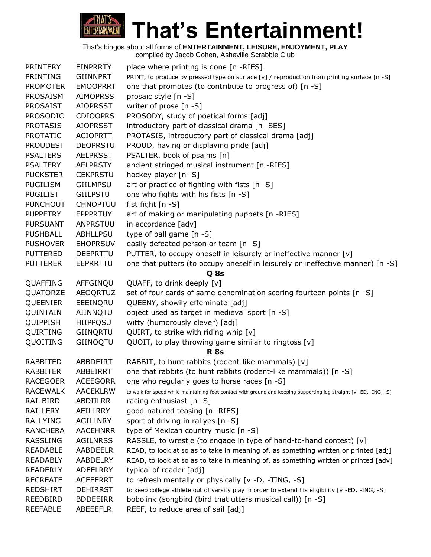

compiled by Jacob Cohen, Asheville Scrabble Club PRINTERY EINPRRTY place where printing is done [n -RIES] PRINTING GIINNPRT PRINT, to produce by pressed type on surface [v] / reproduction from printing surface [n -S] PROMOTER EMOOPRRT one that promotes (to contribute to progress of) [n -S] PROSAISM AIMOPRSS prosaic style [n -S] PROSAIST AIOPRSST writer of prose [n -S] PROSODIC CDIOOPRS PROSODY, study of poetical forms [adj] PROTASIS AIOPRSST introductory part of classical drama [n -SES] PROTATIC ACIOPRTT PROTASIS, introductory part of classical drama [adj] PROUDEST DEOPRSTU PROUD, having or displaying pride [adj] PSALTERS AELPRSST PSALTER, book of psalms [n] PSALTERY AELPRSTY ancient stringed musical instrument [n -RIES] PUCKSTER CEKPRSTU hockey player [n -S] PUGILISM GIILMPSU art or practice of fighting with fists [n -S] PUGILIST GIILPSTU one who fights with his fists [n -S] PUNCHOUT CHNOPTUU fist fight [n -S] PUPPETRY EPPPRTUY art of making or manipulating puppets [n -RIES] PURSUANT ANPRSTUU in accordance [adv] PUSHBALL ABHLLPSU type of ball game [n -S] PUSHOVER EHOPRSUV easily defeated person or team [n -S] PUTTERED DEEPRTTU PUTTER, to occupy oneself in leisurely or ineffective manner [v] PUTTERER EEPRRTTU one that putters (to occupy oneself in leisurely or ineffective manner) [n -S] **Q 8s** QUAFFING AFFGINQU QUAFF, to drink deeply [v] QUATORZE AEOQRTUZ set of four cards of same denomination scoring fourteen points [n -S] QUEENIER EEEINQRU QUEENY, showily effeminate [adj] QUINTAIN AIINNQTU object used as target in medieval sport [n -S] QUIPPISH HIIPPQSU witty (humorously clever) [adj] QUIRTING GIINQRTU QUIRT, to strike with riding whip [v] QUOITING GIINOQTU QUOIT, to play throwing game similar to ringtoss [v] **R 8s** RABBITED ABBDEIRT RABBIT, to hunt rabbits (rodent-like mammals) [v] RABBITER ABBEIRRT one that rabbits (to hunt rabbits (rodent-like mammals)) [n -S] RACEGOER ACEEGORR one who regularly goes to horse races [n -S] RACEWALK AACEKLRW to walk for speed while maintaining foot contact with ground and keeping supporting leg straight [v -ED, -ING, -S] RAILBIRD ABDIILRR racing enthusiast [n -S] RAILLERY AEILLRRY good-natured teasing [n -RIES] RALLYING AGILLNRY sport of driving in rallyes [n -S] RANCHERA AACEHNRR type of Mexican country music [n -S] RASSLING AGILNRSS RASSLE, to wrestle (to engage in type of hand-to-hand contest) [v] READABLE AABDEELR READ, to look at so as to take in meaning of, as something written or printed [adj] READABLY AABDELRY READ, to look at so as to take in meaning of, as something written or printed [adv] READERLY ADEELRRY typical of reader [adj] RECREATE ACEEERRT to refresh mentally or physically [v -D, -TING, -S] REDSHIRT DEHIRRST to keep college athlete out of varsity play in order to extend his eligibility [v -ED, -ING, -S] REEDBIRD BDDEEIRR bobolink (songbird (bird that utters musical call)) [n -S] REEFABLE ABEEEFLR REEF, to reduce area of sail [adj]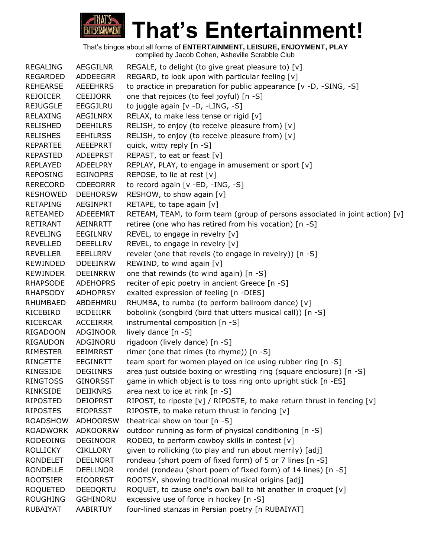

| <b>AEGGILNR</b> | REGALE, to delight (to give great pleasure to) $[v]$                         |
|-----------------|------------------------------------------------------------------------------|
| <b>ADDEEGRR</b> | REGARD, to look upon with particular feeling [v]                             |
| <b>AEEEHRRS</b> | to practice in preparation for public appearance [v -D, -SING, -S]           |
| <b>CEEIJORR</b> | one that rejoices (to feel joyful) [n -S]                                    |
| <b>EEGGJLRU</b> | to juggle again [v -D, -LING, -S]                                            |
| AEGILNRX        | RELAX, to make less tense or rigid [v]                                       |
| <b>DEEHILRS</b> | RELISH, to enjoy (to receive pleasure from) [v]                              |
| <b>EEHILRSS</b> | RELISH, to enjoy (to receive pleasure from) [v]                              |
| AEEEPRRT        | quick, witty reply [n -S]                                                    |
| <b>ADEEPRST</b> | REPAST, to eat or feast [v]                                                  |
| ADEELPRY        | REPLAY, PLAY, to engage in amusement or sport [v]                            |
| <b>EGINOPRS</b> | REPOSE, to lie at rest [v]                                                   |
| <b>CDEEORRR</b> | to record again [v -ED, -ING, -S]                                            |
| <b>DEEHORSW</b> | RESHOW, to show again [v]                                                    |
| AEGINPRT        | RETAPE, to tape again [v]                                                    |
| ADEEEMRT        | RETEAM, TEAM, to form team (group of persons associated in joint action) [v] |
| AEINRRTT        | retiree (one who has retired from his vocation) [n -S]                       |
| EEGILNRV        | REVEL, to engage in revelry [v]                                              |
| <b>DEEELLRV</b> | REVEL, to engage in revelry [v]                                              |
| EEELLRRV        | reveler (one that revels (to engage in revelry)) [n -S]                      |
| <b>DDEEINRW</b> | REWIND, to wind again [v]                                                    |
| <b>DEEINRRW</b> | one that rewinds (to wind again) [n -S]                                      |
| <b>ADEHOPRS</b> | reciter of epic poetry in ancient Greece [n -S]                              |
| <b>ADHOPRSY</b> | exalted expression of feeling [n -DIES]                                      |
| ABDEHMRU        | RHUMBA, to rumba (to perform ballroom dance) [v]                             |
| <b>BCDEIIRR</b> | bobolink (songbird (bird that utters musical call)) [n -S]                   |
| <b>ACCEIRRR</b> | instrumental composition [n -S]                                              |
| ADGINOOR        | lively dance $[n - S]$                                                       |
| ADGINORU        | rigadoon (lively dance) [n -S]                                               |
| <b>EEIMRRST</b> | rimer (one that rimes (to rhyme)) [n -S]                                     |
| <b>EEGINRTT</b> | team sport for women played on ice using rubber ring [n -S]                  |
| <b>DEGIINRS</b> | area just outside boxing or wrestling ring (square enclosure) [n -S]         |
| <b>GINORSST</b> | game in which object is to toss ring onto upright stick [n -ES]              |
| <b>DEIIKNRS</b> | area next to ice at rink [n -S]                                              |
| <b>DEIOPRST</b> | RIPOST, to riposte [v] / RIPOSTE, to make return thrust in fencing [v]       |
| <b>EIOPRSST</b> | RIPOSTE, to make return thrust in fencing [v]                                |
| <b>ADHOORSW</b> | theatrical show on tour [n -S]                                               |
| <b>ADKOORRW</b> | outdoor running as form of physical conditioning [n -S]                      |
| <b>DEGINOOR</b> | RODEO, to perform cowboy skills in contest [v]                               |
| <b>CIKLLORY</b> | given to rollicking (to play and run about merrily) [adj]                    |
| <b>DEELNORT</b> | rondeau (short poem of fixed form) of 5 or 7 lines [n -S]                    |
| <b>DEELLNOR</b> | rondel (rondeau (short poem of fixed form) of 14 lines) [n -S]               |
| <b>EIOORRST</b> | ROOTSY, showing traditional musical origins [adj]                            |
| DEEOQRTU        | ROQUET, to cause one's own ball to hit another in croquet [v]                |
| <b>GGHINORU</b> | excessive use of force in hockey [n -S]                                      |
| AABIRTUY        | four-lined stanzas in Persian poetry [n RUBAIYAT]                            |
|                 |                                                                              |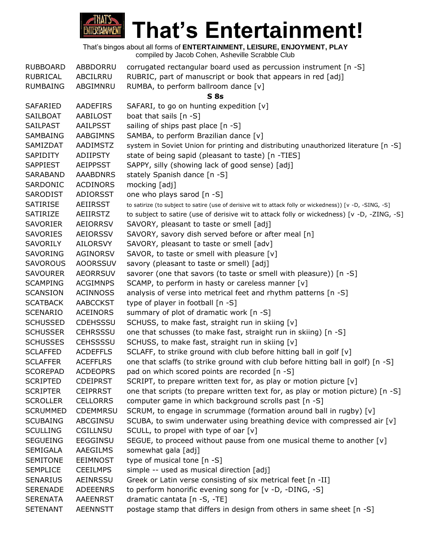

**That's Entertainment!**

| <b>RUBBOARD</b> | ABBDORRU                    | corrugated rectangular board used as percussion instrument [n -S]                                        |
|-----------------|-----------------------------|----------------------------------------------------------------------------------------------------------|
| RUBRICAL        | ABCILRRU                    | RUBRIC, part of manuscript or book that appears in red [adj]                                             |
| <b>RUMBAING</b> | ABGIMNRU                    | RUMBA, to perform ballroom dance [v]                                                                     |
|                 |                             | S8s                                                                                                      |
| SAFARIED        | AADEFIRS                    | SAFARI, to go on hunting expedition [v]                                                                  |
| <b>SAILBOAT</b> | AABILOST                    | boat that sails $[n -S]$                                                                                 |
| <b>SAILPAST</b> | AAILPSST                    | sailing of ships past place [n -S]                                                                       |
| SAMBAING        | AABGIMNS                    | SAMBA, to perform Brazilian dance [v]                                                                    |
| SAMIZDAT        | <b>AADIMSTZ</b>             | system in Soviet Union for printing and distributing unauthorized literature [n -S]                      |
| <b>SAPIDITY</b> | <b>ADIIPSTY</b>             | state of being sapid (pleasant to taste) [n -TIES]                                                       |
| <b>SAPPIEST</b> | <b>AEIPPSST</b>             | SAPPY, silly (showing lack of good sense) [adj]                                                          |
| SARABAND        | <b>AAABDNRS</b>             | stately Spanish dance [n -S]                                                                             |
| SARDONIC        | <b>ACDINORS</b>             | mocking [adj]                                                                                            |
| SARODIST        | <b>ADIORSST</b>             | one who plays sarod [n -S]                                                                               |
| <b>SATIRISE</b> | AEIIRSST                    | to satirize (to subject to satire (use of derisive wit to attack folly or wickedness)) [v -D, -SING, -S] |
| SATIRIZE        | AEIIRSTZ                    | to subject to satire (use of derisive wit to attack folly or wickedness) [v -D, -ZING, -S]               |
| <b>SAVORIER</b> | <b>AEIORRSV</b>             | SAVORY, pleasant to taste or smell [adj]                                                                 |
| <b>SAVORIES</b> | <b>AEIORSSV</b>             | SAVORY, savory dish served before or after meal [n]                                                      |
|                 |                             |                                                                                                          |
| SAVORILY        | AILORSVY                    | SAVORY, pleasant to taste or smell [adv]                                                                 |
| SAVORING        | AGINORSV<br><b>AOORSSUV</b> | SAVOR, to taste or smell with pleasure [v]                                                               |
| <b>SAVOROUS</b> |                             | savory (pleasant to taste or smell) [adj]                                                                |
| <b>SAVOURER</b> | <b>AEORRSUV</b>             | savorer (one that savors (to taste or smell with pleasure)) [n -S]                                       |
| <b>SCAMPING</b> | <b>ACGIMNPS</b>             | SCAMP, to perform in hasty or careless manner [v]                                                        |
| <b>SCANSION</b> | <b>ACINNOSS</b>             | analysis of verse into metrical feet and rhythm patterns [n -S]                                          |
| <b>SCATBACK</b> | <b>AABCCKST</b>             | type of player in football [n -S]                                                                        |
| <b>SCENARIO</b> | <b>ACEINORS</b>             | summary of plot of dramatic work [n -S]                                                                  |
| <b>SCHUSSED</b> | <b>CDEHSSSU</b>             | SCHUSS, to make fast, straight run in skiing [v]                                                         |
| <b>SCHUSSER</b> | <b>CEHRSSSU</b>             | one that schusses (to make fast, straight run in skiing) [n -S]                                          |
| <b>SCHUSSES</b> | <b>CEHSSSSU</b>             | SCHUSS, to make fast, straight run in skiing [v]                                                         |
| <b>SCLAFFED</b> | <b>ACDEFFLS</b>             | SCLAFF, to strike ground with club before hitting ball in golf [v]                                       |
| <b>SCLAFFER</b> | <b>ACEFFLRS</b>             | one that sclaffs (to strike ground with club before hitting ball in golf) [n -S]                         |
| <b>SCOREPAD</b> | <b>ACDEOPRS</b>             | pad on which scored points are recorded [n -S]                                                           |
| <b>SCRIPTED</b> | <b>CDEIPRST</b>             | SCRIPT, to prepare written text for, as play or motion picture [v]                                       |
| <b>SCRIPTER</b> | <b>CEIPRRST</b>             | one that scripts (to prepare written text for, as play or motion picture) $[n -S]$                       |
| <b>SCROLLER</b> | <b>CELLORRS</b>             | computer game in which background scrolls past [n -S]                                                    |
| <b>SCRUMMED</b> | <b>CDEMMRSU</b>             | SCRUM, to engage in scrummage (formation around ball in rugby) [v]                                       |
| <b>SCUBAING</b> | ABCGINSU                    | SCUBA, to swim underwater using breathing device with compressed air [v]                                 |
| <b>SCULLING</b> | CGILLNSU                    | SCULL, to propel with type of oar [v]                                                                    |
| <b>SEGUEING</b> | <b>EEGGINSU</b>             | SEGUE, to proceed without pause from one musical theme to another [v]                                    |
| SEMIGALA        | AAEGILMS                    | somewhat gala [adj]                                                                                      |
| <b>SEMITONE</b> | <b>EEIMNOST</b>             | type of musical tone [n -S]                                                                              |
| <b>SEMPLICE</b> | <b>CEEILMPS</b>             | simple -- used as musical direction [adj]                                                                |
| <b>SENARIUS</b> | AEINRSSU                    | Greek or Latin verse consisting of six metrical feet [n -II]                                             |
| <b>SERENADE</b> | <b>ADEEENRS</b>             | to perform honorific evening song for [v -D, -DING, -S]                                                  |
| <b>SERENATA</b> | <b>AAEENRST</b>             | dramatic cantata [n -S, -TE]                                                                             |
| <b>SETENANT</b> | <b>AEENNSTT</b>             | postage stamp that differs in design from others in same sheet [n -S]                                    |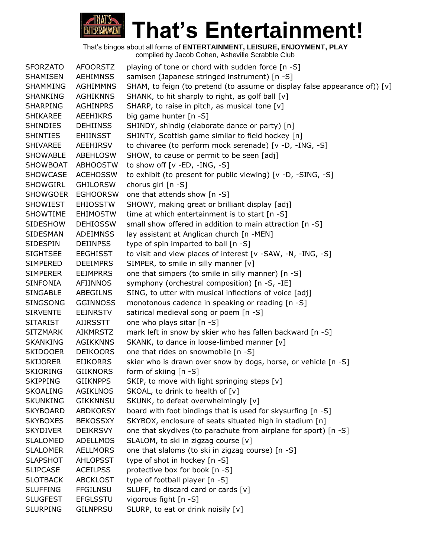

SFORZATO AFOORSTZ playing of tone or chord with sudden force [n -S] SHAMISEN AEHIMNSS samisen (Japanese stringed instrument) [n -S] SHAMMING AGHIMMNS SHAM, to feign (to pretend (to assume or display false appearance of)) [v] SHANKING AGHIKNNS SHANK, to hit sharply to right, as golf ball [v] SHARPING AGHINPRS SHARP, to raise in pitch, as musical tone [v] SHIKAREE AEEHIKRS big game hunter [n -S] SHINDIES DEHIINSS SHINDY, shindig (elaborate dance or party) [n] SHINTIES EHIINSST SHINTY, Scottish game similar to field hockey [n] SHIVAREE AEEHIRSV to chivaree (to perform mock serenade) [v -D, -ING, -S] SHOWABLE ABEHLOSW SHOW, to cause or permit to be seen [adj] SHOWBOAT ABHOOSTW to show off [v -ED, -ING, -S] SHOWCASE ACEHOSSW to exhibit (to present for public viewing) [v -D, -SING, -S] SHOWGIRL GHILORSW chorus girl [n -S] SHOWGOER EGHOORSW one that attends show [n -S] SHOWIEST EHIOSSTW SHOWY, making great or brilliant display [adj] SHOWTIME EHIMOSTW time at which entertainment is to start [n -S] SIDESHOW DEHIOSSW small show offered in addition to main attraction [n -S] SIDESMAN ADEIMNSS lay assistant at Anglican church [n -MEN] SIDESPIN DEIINPSS type of spin imparted to ball [n -S] SIGHTSEE EEGHISST to visit and view places of interest [v -SAW, -N, -ING, -S] SIMPERED DEEIMPRS SIMPER, to smile in silly manner [v] SIMPERER EEIMPRRS one that simpers (to smile in silly manner) [n -S] SINFONIA AFIINNOS symphony (orchestral composition) [n -S, -IE] SINGABLE ABEGILNS SING, to utter with musical inflections of voice [adj] SINGSONG GGINNOSS monotonous cadence in speaking or reading [n -S] SIRVENTE EEINRSTV satirical medieval song or poem [n -S] SITARIST AIIRSSTT one who plays sitar [n -S] SITZMARK AIKMRSTZ mark left in snow by skier who has fallen backward [n -S] SKANKING AGIKKNNS SKANK, to dance in loose-limbed manner [v] SKIDOOER DEIKOORS one that rides on snowmobile [n -S] SKIJORER EIJKORRS skier who is drawn over snow by dogs, horse, or vehicle [n -S] SKIORING GIIKNORS form of skiing [n -S] SKIPPING GIIKNPPS SKIP, to move with light springing steps [v] SKOALING AGIKLNOS SKOAL, to drink to health of [v] SKUNKING GIKKNNSU SKUNK, to defeat overwhelmingly [v] SKYBOARD ABDKORSY board with foot bindings that is used for skysurfing [n -S] SKYBOXES BEKOSSXY SKYBOX, enclosure of seats situated high in stadium [n] SKYDIVER DEIKRSVY one that skydives (to parachute from airplane for sport) [n -S] SLALOMED ADELLMOS SLALOM, to ski in zigzag course [v] SLALOMER AELLMORS one that slaloms (to ski in zigzag course) [n -S] SLAPSHOT AHLOPSST type of shot in hockey [n -S] SLIPCASE ACEILPSS protective box for book [n -S] SLOTBACK ABCKLOST type of football player [n -S] SLUFFING FFGILNSU SLUFF, to discard card or cards [v] SLUGFEST EFGLSSTU vigorous fight [n -S] SLURPING GILNPRSU SLURP, to eat or drink noisily [v]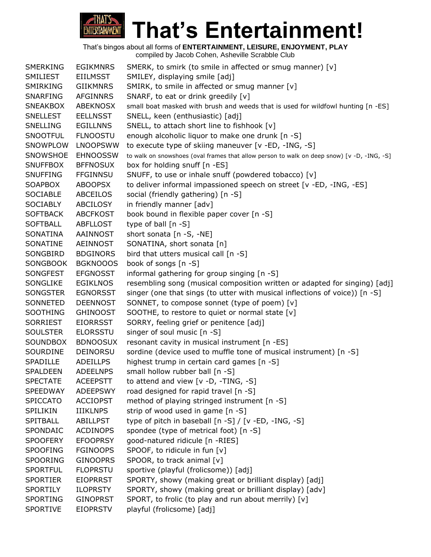

| <b>SMERKING</b> | <b>EGIKMNRS</b> | SMERK, to smirk (to smile in affected or smug manner) [v]                                  |
|-----------------|-----------------|--------------------------------------------------------------------------------------------|
| <b>SMILIEST</b> | <b>EIILMSST</b> | SMILEY, displaying smile [adj]                                                             |
| SMIRKING        | GIIKMNRS        | SMIRK, to smile in affected or smug manner [v]                                             |
| <b>SNARFING</b> | <b>AFGINNRS</b> | SNARF, to eat or drink greedily [v]                                                        |
| <b>SNEAKBOX</b> | <b>ABEKNOSX</b> | small boat masked with brush and weeds that is used for wildfowl hunting [n -ES]           |
| <b>SNELLEST</b> | <b>EELLNSST</b> | SNELL, keen (enthusiastic) [adj]                                                           |
| <b>SNELLING</b> | <b>EGILLNNS</b> | SNELL, to attach short line to fishhook [v]                                                |
| <b>SNOOTFUL</b> | <b>FLNOOSTU</b> | enough alcoholic liquor to make one drunk [n -S]                                           |
| SNOWPLOW        | <b>LNOOPSWW</b> | to execute type of skiing maneuver [v -ED, -ING, -S]                                       |
| <b>SNOWSHOE</b> | <b>EHNOOSSW</b> | to walk on snowshoes (oval frames that allow person to walk on deep snow) [v -D, -ING, -S] |
| <b>SNUFFBOX</b> | <b>BFFNOSUX</b> | box for holding snuff [n -ES]                                                              |
| <b>SNUFFING</b> | <b>FFGINNSU</b> | SNUFF, to use or inhale snuff (powdered tobacco) [v]                                       |
| <b>SOAPBOX</b>  | <b>ABOOPSX</b>  | to deliver informal impassioned speech on street [v -ED, -ING, -ES]                        |
| <b>SOCIABLE</b> | <b>ABCEILOS</b> | social (friendly gathering) [n -S]                                                         |
| <b>SOCIABLY</b> | ABCILOSY        | in friendly manner [adv]                                                                   |
| <b>SOFTBACK</b> | <b>ABCFKOST</b> | book bound in flexible paper cover [n -S]                                                  |
| <b>SOFTBALL</b> | <b>ABFLLOST</b> | type of ball $[n - S]$                                                                     |
| SONATINA        | AAINNOST        | short sonata [n -S, -NE]                                                                   |
| SONATINE        | <b>AEINNOST</b> | SONATINA, short sonata [n]                                                                 |
| SONGBIRD        | <b>BDGINORS</b> | bird that utters musical call [n -S]                                                       |
| <b>SONGBOOK</b> | <b>BGKNOOOS</b> | book of songs [n -S]                                                                       |
| SONGFEST        | <b>EFGNOSST</b> | informal gathering for group singing [n -S]                                                |
| SONGLIKE        | <b>EGIKLNOS</b> | resembling song (musical composition written or adapted for singing) [adj]                 |
| SONGSTER        | <b>EGNORSST</b> | singer (one that sings (to utter with musical inflections of voice)) [n -S]                |
| SONNETED        | <b>DEENNOST</b> | SONNET, to compose sonnet (type of poem) [v]                                               |
| SOOTHING        | <b>GHINOOST</b> | SOOTHE, to restore to quiet or normal state [v]                                            |
| <b>SORRIEST</b> | <b>EIORRSST</b> | SORRY, feeling grief or penitence [adj]                                                    |
| <b>SOULSTER</b> | <b>ELORSSTU</b> | singer of soul music [n -S]                                                                |
| SOUNDBOX        | <b>BDNOOSUX</b> | resonant cavity in musical instrument [n -ES]                                              |
| SOURDINE        | <b>DEINORSU</b> | sordine (device used to muffle tone of musical instrument) [n -S]                          |
| SPADILLE        | <b>ADEILLPS</b> | highest trump in certain card games [n -S]                                                 |
| <b>SPALDEEN</b> | <b>ADEELNPS</b> | small hollow rubber ball [n -S]                                                            |
| <b>SPECTATE</b> | <b>ACEEPSTT</b> | to attend and view $[v -D, -TING, -S]$                                                     |
| <b>SPEEDWAY</b> | <b>ADEEPSWY</b> | road designed for rapid travel [n -S]                                                      |
| <b>SPICCATO</b> | <b>ACCIOPST</b> | method of playing stringed instrument [n -S]                                               |
| SPILIKIN        | <b>IIIKLNPS</b> | strip of wood used in game [n -S]                                                          |
| <b>SPITBALL</b> | <b>ABILLPST</b> | type of pitch in baseball [n -S] / [v -ED, -ING, -S]                                       |
| SPONDAIC        | <b>ACDINOPS</b> | spondee (type of metrical foot) [n -S]                                                     |
| <b>SPOOFERY</b> | <b>EFOOPRSY</b> | good-natured ridicule [n -RIES]                                                            |
| <b>SPOOFING</b> | <b>FGINOOPS</b> | SPOOF, to ridicule in fun [v]                                                              |
| <b>SPOORING</b> | <b>GINOOPRS</b> | SPOOR, to track animal [v]                                                                 |
| <b>SPORTFUL</b> | <b>FLOPRSTU</b> | sportive (playful (frolicsome)) [adj]                                                      |
| <b>SPORTIER</b> | <b>EIOPRRST</b> | SPORTY, showy (making great or brilliant display) [adj]                                    |
| <b>SPORTILY</b> | <b>ILOPRSTY</b> | SPORTY, showy (making great or brilliant display) [adv]                                    |
| <b>SPORTING</b> | <b>GINOPRST</b> | SPORT, to frolic (to play and run about merrily) [v]                                       |
| <b>SPORTIVE</b> | <b>EIOPRSTV</b> | playful (frolicsome) [adj]                                                                 |
|                 |                 |                                                                                            |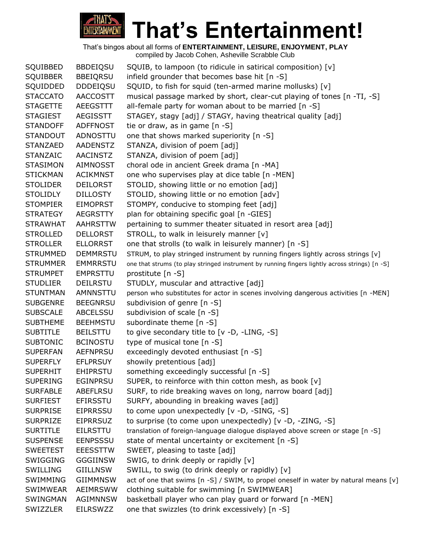

| SQUIBBED        | <b>BBDEIQSU</b> | SQUIB, to lampoon (to ridicule in satirical composition) [v]                                   |
|-----------------|-----------------|------------------------------------------------------------------------------------------------|
| <b>SQUIBBER</b> | <b>BBEIQRSU</b> | infield grounder that becomes base hit [n -S]                                                  |
| SQUIDDED        | <b>DDDEIQSU</b> | SQUID, to fish for squid (ten-armed marine mollusks) [v]                                       |
| <b>STACCATO</b> | <b>AACCOSTT</b> | musical passage marked by short, clear-cut playing of tones [n -TI, -S]                        |
| <b>STAGETTE</b> | AEEGSTTT        | all-female party for woman about to be married [n -S]                                          |
| <b>STAGIEST</b> | <b>AEGISSTT</b> | STAGEY, stagy [adj] / STAGY, having theatrical quality [adj]                                   |
| <b>STANDOFF</b> | <b>ADFFNOST</b> | tie or draw, as in game [n -S]                                                                 |
| <b>STANDOUT</b> | ADNOSTTU        | one that shows marked superiority [n -S]                                                       |
| <b>STANZAED</b> | AADENSTZ        | STANZA, division of poem [adj]                                                                 |
| <b>STANZAIC</b> | <b>AACINSTZ</b> | STANZA, division of poem [adj]                                                                 |
| <b>STASIMON</b> | AIMNOSST        | choral ode in ancient Greek drama [n -MA]                                                      |
| <b>STICKMAN</b> | <b>ACIKMNST</b> | one who supervises play at dice table [n -MEN]                                                 |
| <b>STOLIDER</b> | <b>DEILORST</b> | STOLID, showing little or no emotion [adj]                                                     |
| <b>STOLIDLY</b> | <b>DILLOSTY</b> | STOLID, showing little or no emotion [adv]                                                     |
| <b>STOMPIER</b> | <b>EIMOPRST</b> | STOMPY, conducive to stomping feet [adj]                                                       |
| <b>STRATEGY</b> | <b>AEGRSTTY</b> | plan for obtaining specific goal [n -GIES]                                                     |
| <b>STRAWHAT</b> | <b>AAHRSTTW</b> | pertaining to summer theater situated in resort area [adj]                                     |
| <b>STROLLED</b> | <b>DELLORST</b> | STROLL, to walk in leisurely manner [v]                                                        |
| <b>STROLLER</b> | <b>ELLORRST</b> | one that strolls (to walk in leisurely manner) [n -S]                                          |
| <b>STRUMMED</b> | <b>DEMMRSTU</b> | STRUM, to play stringed instrument by running fingers lightly across strings [v]               |
| <b>STRUMMER</b> | <b>EMMRRSTU</b> | one that strums (to play stringed instrument by running fingers lightly across strings) [n -S] |
| <b>STRUMPET</b> | <b>EMPRSTTU</b> | prostitute [n -S]                                                                              |
| <b>STUDLIER</b> | <b>DEILRSTU</b> | STUDLY, muscular and attractive [adj]                                                          |
| <b>STUNTMAN</b> | AMNNSTTU        | person who substitutes for actor in scenes involving dangerous activities [n -MEN]             |
| <b>SUBGENRE</b> | <b>BEEGNRSU</b> | subdivision of genre [n -S]                                                                    |
| <b>SUBSCALE</b> | ABCELSSU        | subdivision of scale [n -S]                                                                    |
| <b>SUBTHEME</b> | <b>BEEHMSTU</b> | subordinate theme [n -S]                                                                       |
| <b>SUBTITLE</b> | <b>BEILSTTU</b> | to give secondary title to [v -D, -LING, -S]                                                   |
| <b>SUBTONIC</b> | <b>BCINOSTU</b> | type of musical tone [n -S]                                                                    |
| <b>SUPERFAN</b> | <b>AEFNPRSU</b> | exceedingly devoted enthusiast [n -S]                                                          |
| <b>SUPERFLY</b> | <b>EFLPRSUY</b> | showily pretentious [adj]                                                                      |
| <b>SUPERHIT</b> | <b>EHIPRSTU</b> | something exceedingly successful [n -S]                                                        |
| <b>SUPERING</b> | <b>EGINPRSU</b> | SUPER, to reinforce with thin cotton mesh, as book [v]                                         |
| <b>SURFABLE</b> | <b>ABEFLRSU</b> | SURF, to ride breaking waves on long, narrow board [adj]                                       |
| <b>SURFIEST</b> | <b>EFIRSSTU</b> | SURFY, abounding in breaking waves [adj]                                                       |
| <b>SURPRISE</b> | <b>EIPRRSSU</b> | to come upon unexpectedly [v -D, -SING, -S]                                                    |
| <b>SURPRIZE</b> | <b>EIPRRSUZ</b> | to surprise (to come upon unexpectedly) [v -D, -ZING, -S]                                      |
| <b>SURTITLE</b> | <b>EILRSTTU</b> | translation of foreign-language dialogue displayed above screen or stage [n -S]                |
| <b>SUSPENSE</b> | <b>EENPSSSU</b> | state of mental uncertainty or excitement [n -S]                                               |
| <b>SWEETEST</b> | <b>EEESSTTW</b> | SWEET, pleasing to taste [adj]                                                                 |
| SWIGGING        | <b>GGGIINSW</b> | SWIG, to drink deeply or rapidly [v]                                                           |
| SWILLING        | <b>GIILLNSW</b> | SWILL, to swig (to drink deeply or rapidly) [v]                                                |
| SWIMMING        | <b>GIIMMNSW</b> | act of one that swims [n -S] / SWIM, to propel oneself in water by natural means [v]           |
| <b>SWIMWEAR</b> | AEIMRSWW        | clothing suitable for swimming [n SWIMWEAR]                                                    |
| SWINGMAN        | <b>AGIMNNSW</b> | basketball player who can play guard or forward [n -MEN]                                       |
| SWIZZLER        | EILRSWZZ        | one that swizzles (to drink excessively) [n -S]                                                |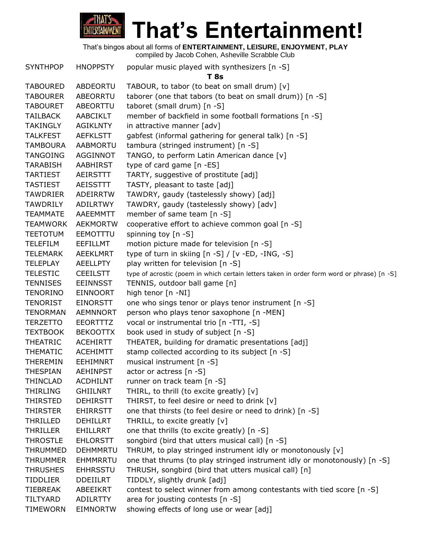

**That's Entertainment!**

That's bingos about all forms of **ENTERTAINMENT, LEISURE, ENJOYMENT, PLAY**

compiled by Jacob Cohen, Asheville Scrabble Club

SYNTHPOP HNOPPSTY popular music played with synthesizers [n -S] **T 8s** TABOURED ABDEORTU TABOUR, to tabor (to beat on small drum) [v] TABOURER ABEORRTU taborer (one that tabors (to beat on small drum)) [n -S] TABOURET ABEORTTU taboret (small drum) [n -S] TAILBACK AABCIKLT member of backfield in some football formations [n -S] TAKINGLY AGIKLNTY in attractive manner [adv] TALKFEST AEFKLSTT gabfest (informal gathering for general talk) [n -S] TAMBOURA AABMORTU tambura (stringed instrument) [n -S] TANGOING AGGINNOT TANGO, to perform Latin American dance [v] TARABISH AABHIRST type of card game [n -ES] TARTIEST AEIRSTTT TARTY, suggestive of prostitute [adj] TASTIEST AEISSTTT TASTY, pleasant to taste [adj] TAWDRIER ADEIRRTW TAWDRY, gaudy (tastelessly showy) [adj] TAWDRILY ADILRTWY TAWDRY, gaudy (tastelessly showy) [adv] TEAMMATE AAEEMMTT member of same team [n -S] TEAMWORK AEKMORTW cooperative effort to achieve common goal [n -S] TEETOTUM EEMOTTTU spinning toy [n -S] TELEFILM EEFILLMT motion picture made for television [n -S] TELEMARK AEEKLMRT type of turn in skiing [n -S] / [v -ED, -ING, -S] TELEPLAY AEELLPTY play written for television [n -S] TELESTIC CEEILSTT type of acrostic (poem in which certain letters taken in order form word or phrase) [n -S] TENNISES EEINNSST TENNIS, outdoor ball game [n] TENORINO EINNOORT high tenor [n -NI] TENORIST EINORSTT one who sings tenor or plays tenor instrument [n -S] TENORMAN AEMNNORT person who plays tenor saxophone [n -MEN] TERZETTO EEORTTTZ vocal or instrumental trio [n -TTI, -S] TEXTBOOK BEKOOTTX book used in study of subject [n -S] THEATRIC ACEHIRTT THEATER, building for dramatic presentations [adj] THEMATIC ACEHIMTT stamp collected according to its subject [n -S] THEREMIN EEHIMNRT musical instrument [n -S] THESPIAN AEHINPST actor or actress [n -S] THINCLAD ACDHILNT runner on track team [n -S] THIRLING GHIILNRT THIRL, to thrill (to excite greatly) [v] THIRSTED DEHIRSTT THIRST, to feel desire or need to drink [v] THIRSTER EHIRRSTT one that thirsts (to feel desire or need to drink) [n -S] THRILLED DEHILLRT THRILL, to excite greatly [v] THRILLER EHILLRRT one that thrills (to excite greatly) [n -S] THROSTLE EHLORSTT songbird (bird that utters musical call) [n -S] THRUMMED DEHMMRTU THRUM, to play stringed instrument idly or monotonously [v] THRUMMER EHMMRRTU one that thrums (to play stringed instrument idly or monotonously) [n -S] THRUSHES EHHRSSTU THRUSH, songbird (bird that utters musical call) [n] TIDDLIER DDEIILRT TIDDLY, slightly drunk [adj] TIEBREAK ABEEIKRT contest to select winner from among contestants with tied score [n -S] TILTYARD ADILRTTY area for jousting contests [n -S] TIMEWORN EIMNORTW showing effects of long use or wear [adj]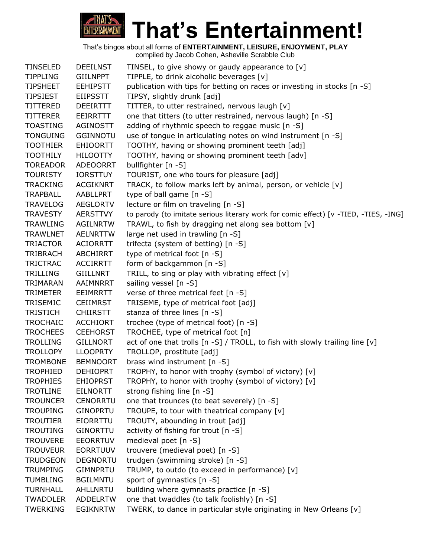

| <b>TINSELED</b> | <b>DEEILNST</b> | TINSEL, to give showy or gaudy appearance to $[v]$                                   |
|-----------------|-----------------|--------------------------------------------------------------------------------------|
| <b>TIPPLING</b> | GIILNPPT        | TIPPLE, to drink alcoholic beverages [v]                                             |
| <b>TIPSHEET</b> | <b>EEHIPSTT</b> | publication with tips for betting on races or investing in stocks [n -S]             |
| <b>TIPSIEST</b> | <b>EIIPSSTT</b> | TIPSY, slightly drunk [adj]                                                          |
| <b>TITTERED</b> | <b>DEEIRTTT</b> | TITTER, to utter restrained, nervous laugh [v]                                       |
| <b>TITTERER</b> | EEIRRTTT        | one that titters (to utter restrained, nervous laugh) [n -S]                         |
| <b>TOASTING</b> | AGINOSTT        | adding of rhythmic speech to reggae music [n -S]                                     |
| <b>TONGUING</b> | <b>GGINNOTU</b> | use of tongue in articulating notes on wind instrument [n -S]                        |
| <b>TOOTHIER</b> | <b>EHIOORTT</b> | TOOTHY, having or showing prominent teeth [adj]                                      |
| <b>TOOTHILY</b> | <b>HILOOTTY</b> | TOOTHY, having or showing prominent teeth [adv]                                      |
| <b>TOREADOR</b> | <b>ADEOORRT</b> | bullfighter [n -S]                                                                   |
| <b>TOURISTY</b> | <b>IORSTTUY</b> | TOURIST, one who tours for pleasure [adj]                                            |
| <b>TRACKING</b> | <b>ACGIKNRT</b> | TRACK, to follow marks left by animal, person, or vehicle [v]                        |
| <b>TRAPBALL</b> | AABLLPRT        | type of ball game [n -S]                                                             |
| <b>TRAVELOG</b> | <b>AEGLORTV</b> | lecture or film on traveling [n -S]                                                  |
| <b>TRAVESTY</b> | <b>AERSTTVY</b> | to parody (to imitate serious literary work for comic effect) [v -TIED, -TIES, -ING] |
| <b>TRAWLING</b> | <b>AGILNRTW</b> | TRAWL, to fish by dragging net along sea bottom [v]                                  |
| <b>TRAWLNET</b> | <b>AELNRTTW</b> | large net used in trawling [n -S]                                                    |
| <b>TRIACTOR</b> | <b>ACIORRTT</b> | trifecta (system of betting) [n -S]                                                  |
| <b>TRIBRACH</b> | <b>ABCHIRRT</b> | type of metrical foot [n -S]                                                         |
| TRICTRAC        | <b>ACCIRRTT</b> | form of backgammon [n -S]                                                            |
| <b>TRILLING</b> | <b>GIILLNRT</b> | TRILL, to sing or play with vibrating effect [v]                                     |
| TRIMARAN        | AAIMNRRT        | sailing vessel [n -S]                                                                |
| <b>TRIMETER</b> | EEIMRRTT        | verse of three metrical feet [n -S]                                                  |
| TRISEMIC        | <b>CEIIMRST</b> | TRISEME, type of metrical foot [adj]                                                 |
| <b>TRISTICH</b> | <b>CHIIRSTT</b> | stanza of three lines [n -S]                                                         |
| <b>TROCHAIC</b> | <b>ACCHIORT</b> | trochee (type of metrical foot) [n -S]                                               |
| <b>TROCHEES</b> | <b>CEEHORST</b> | TROCHEE, type of metrical foot [n]                                                   |
| <b>TROLLING</b> | <b>GILLNORT</b> | act of one that trolls [n -S] / TROLL, to fish with slowly trailing line [v]         |
| <b>TROLLOPY</b> | <b>LLOOPRTY</b> | TROLLOP, prostitute [adj]                                                            |
| <b>TROMBONE</b> | <b>BEMNOORT</b> | brass wind instrument [n -S]                                                         |
| <b>TROPHIED</b> | <b>DEHIOPRT</b> | TROPHY, to honor with trophy (symbol of victory) [v]                                 |
| <b>TROPHIES</b> | <b>EHIOPRST</b> | TROPHY, to honor with trophy (symbol of victory) [v]                                 |
| <b>TROTLINE</b> | <b>EILNORTT</b> | strong fishing line [n -S]                                                           |
| <b>TROUNCER</b> | <b>CENORRTU</b> | one that trounces (to beat severely) [n -S]                                          |
| <b>TROUPING</b> | <b>GINOPRTU</b> | TROUPE, to tour with theatrical company [v]                                          |
| <b>TROUTIER</b> | EIORRTTU        | TROUTY, abounding in trout [adj]                                                     |
| <b>TROUTING</b> | <b>GINORTTU</b> | activity of fishing for trout [n -S]                                                 |
| <b>TROUVERE</b> | <b>EEORRTUV</b> | medieval poet [n -S]                                                                 |
| <b>TROUVEUR</b> | <b>EORRTUUV</b> | trouvere (medieval poet) [n -S]                                                      |
| <b>TRUDGEON</b> | <b>DEGNORTU</b> | trudgen (swimming stroke) [n -S]                                                     |
| <b>TRUMPING</b> | <b>GIMNPRTU</b> | TRUMP, to outdo (to exceed in performance) [v]                                       |
| <b>TUMBLING</b> | <b>BGILMNTU</b> | sport of gymnastics [n -S]                                                           |
| <b>TURNHALL</b> | AHLLNRTU        | building where gymnasts practice [n -S]                                              |
| <b>TWADDLER</b> | <b>ADDELRTW</b> | one that twaddles (to talk foolishly) [n -S]                                         |
| <b>TWERKING</b> | <b>EGIKNRTW</b> | TWERK, to dance in particular style originating in New Orleans [v]                   |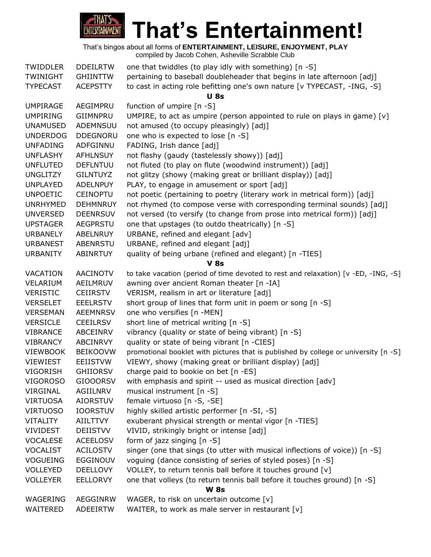

**That's Entertainment!**

| <b>TWIDDLER</b> | <b>DDEILRTW</b> | one that twiddles (to play idly with something) [n -S]                              |  |  |
|-----------------|-----------------|-------------------------------------------------------------------------------------|--|--|
| <b>TWINIGHT</b> | <b>GHIINTTW</b> | pertaining to baseball doubleheader that begins in late afternoon [adj]             |  |  |
| <b>TYPECAST</b> | <b>ACEPSTTY</b> | to cast in acting role befitting one's own nature [v TYPECAST, -ING, -S]            |  |  |
|                 |                 | <b>U</b> 8s                                                                         |  |  |
| <b>UMPIRAGE</b> | AEGIMPRU        | function of umpire [n -S]                                                           |  |  |
| <b>UMPIRING</b> | GIIMNPRU        | UMPIRE, to act as umpire (person appointed to rule on plays in game) [v]            |  |  |
| <b>UNAMUSED</b> | ADEMNSUU        | not amused (to occupy pleasingly) [adj]                                             |  |  |
| <b>UNDERDOG</b> | <b>DDEGNORU</b> | one who is expected to lose [n -S]                                                  |  |  |
| <b>UNFADING</b> | ADFGINNU        | FADING, Irish dance [adj]                                                           |  |  |
| <b>UNFLASHY</b> | <b>AFHLNSUY</b> | not flashy (gaudy (tastelessly showy)) [adj]                                        |  |  |
| <b>UNFLUTED</b> | <b>DEFLNTUU</b> | not fluted (to play on flute (woodwind instrument)) [adj]                           |  |  |
| <b>UNGLITZY</b> | <b>GILNTUYZ</b> | not glitzy (showy (making great or brilliant display)) [adj]                        |  |  |
| <b>UNPLAYED</b> | <b>ADELNPUY</b> | PLAY, to engage in amusement or sport [adj]                                         |  |  |
| <b>UNPOETIC</b> | <b>CEINOPTU</b> | not poetic (pertaining to poetry (literary work in metrical form)) [adj]            |  |  |
| <b>UNRHYMED</b> | <b>DEHMNRUY</b> | not rhymed (to compose verse with corresponding terminal sounds) [adj]              |  |  |
| <b>UNVERSED</b> | <b>DEENRSUV</b> | not versed (to versify (to change from prose into metrical form)) [adj]             |  |  |
| <b>UPSTAGER</b> | <b>AEGPRSTU</b> | one that upstages (to outdo theatrically) [n -S]                                    |  |  |
| <b>URBANELY</b> | <b>ABELNRUY</b> | URBANE, refined and elegant [adv]                                                   |  |  |
| <b>URBANEST</b> | <b>ABENRSTU</b> | URBANE, refined and elegant [adj]                                                   |  |  |
| <b>URBANITY</b> | ABINRTUY        | quality of being urbane (refined and elegant) [n -TIES]                             |  |  |
|                 |                 | V <sub>8s</sub>                                                                     |  |  |
| VACATION        | <b>AACINOTV</b> | to take vacation (period of time devoted to rest and relaxation) [v -ED, -ING, -S]  |  |  |
| VELARIUM        | AEILMRUV        | awning over ancient Roman theater [n -IA]                                           |  |  |
| <b>VERISTIC</b> | <b>CEIIRSTV</b> | VERISM, realism in art or literature [adj]                                          |  |  |
| <b>VERSELET</b> | <b>EEELRSTV</b> | short group of lines that form unit in poem or song [n -S]                          |  |  |
| <b>VERSEMAN</b> | <b>AEEMNRSV</b> | one who versifies [n -MEN]                                                          |  |  |
| <b>VERSICLE</b> | <b>CEEILRSV</b> | short line of metrical writing [n -S]                                               |  |  |
| <b>VIBRANCE</b> | ABCEINRV        | vibrancy (quality or state of being vibrant) [n -S]                                 |  |  |
| <b>VIBRANCY</b> | <b>ABCINRVY</b> | quality or state of being vibrant [n -CIES]                                         |  |  |
| <b>VIEWBOOK</b> | <b>BEIKOOVW</b> | promotional booklet with pictures that is published by college or university [n -S] |  |  |
| <b>VIEWIEST</b> | <b>EEIISTVW</b> | VIEWY, showy (making great or brilliant display) [adj]                              |  |  |
| <b>VIGORISH</b> | <b>GHIIORSV</b> | charge paid to bookie on bet [n -ES]                                                |  |  |
| <b>VIGOROSO</b> | <b>GIOOORSV</b> | with emphasis and spirit -- used as musical direction [adv]                         |  |  |
| VIRGINAL        | AGIILNRV        | musical instrument [n -S]                                                           |  |  |
| <b>VIRTUOSA</b> | <b>AIORSTUV</b> | female virtuoso [n -S, -SE]                                                         |  |  |
| <b>VIRTUOSO</b> | <b>IOORSTUV</b> | highly skilled artistic performer [n -SI, -S]                                       |  |  |
| <b>VITALITY</b> | <b>AIILTTVY</b> | exuberant physical strength or mental vigor [n -TIES]                               |  |  |
| <b>VIVIDEST</b> | <b>DEIISTVV</b> | VIVID, strikingly bright or intense [adj]                                           |  |  |
| <b>VOCALESE</b> | <b>ACEELOSV</b> | form of jazz singing [n -S]                                                         |  |  |
| <b>VOCALIST</b> | <b>ACILOSTV</b> | singer (one that sings (to utter with musical inflections of voice)) [n -S]         |  |  |
| <b>VOGUEING</b> | <b>EGGINOUV</b> | voguing (dance consisting of series of styled poses) [n -S]                         |  |  |
| VOLLEYED        | <b>DEELLOVY</b> | VOLLEY, to return tennis ball before it touches ground [v]                          |  |  |
| <b>VOLLEYER</b> | <b>EELLORVY</b> | one that volleys (to return tennis ball before it touches ground) [n -S]            |  |  |
| <b>W 8s</b>     |                 |                                                                                     |  |  |
| WAGERING        | AEGGINRW        | WAGER, to risk on uncertain outcome [v]                                             |  |  |
| WAITERED        | <b>ADEEIRTW</b> | WAITER, to work as male server in restaurant [v]                                    |  |  |